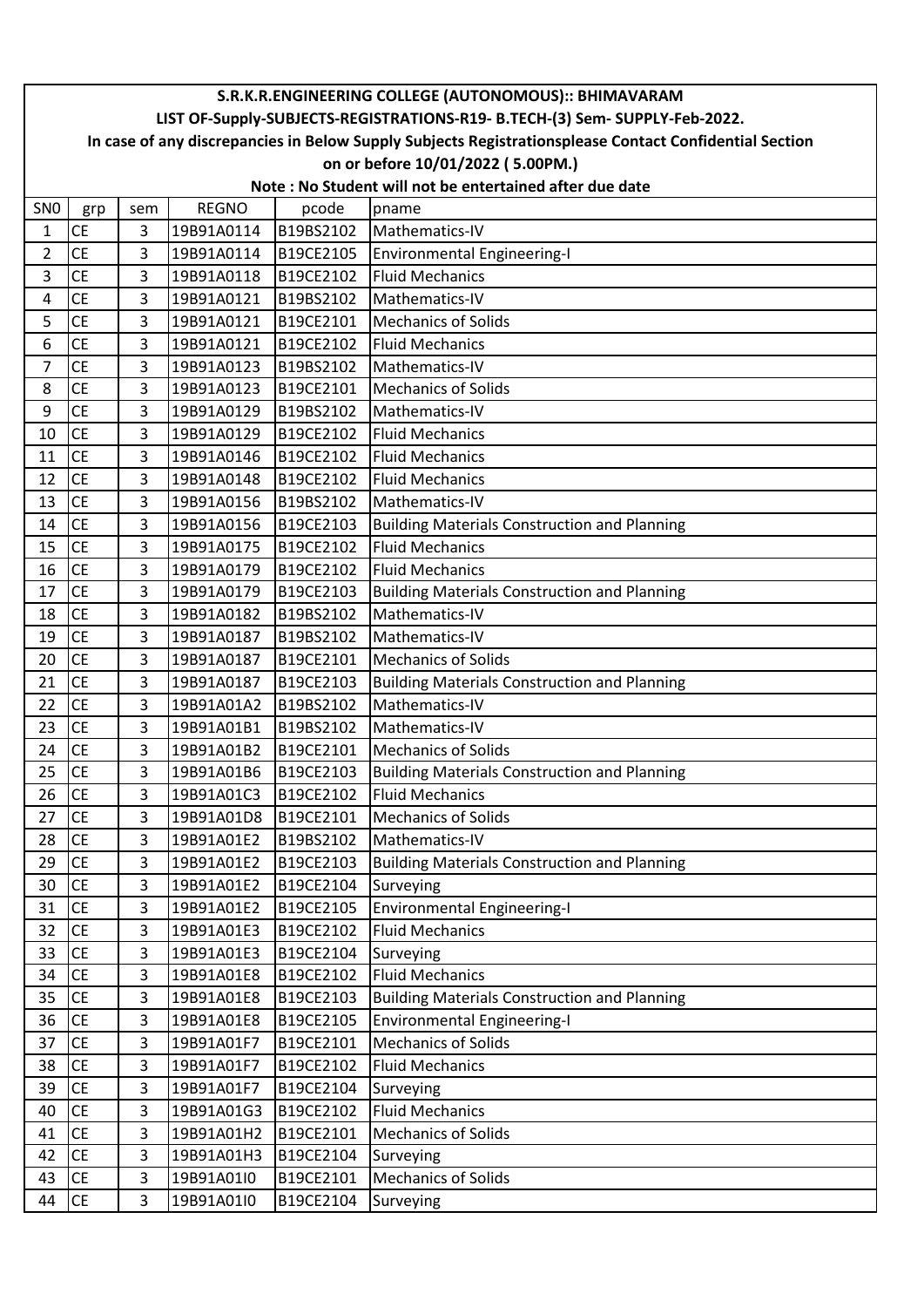|                 | S.R.K.R.ENGINEERING COLLEGE (AUTONOMOUS):: BHIMAVARAM                                                  |                |              |           |                                                     |  |  |  |  |
|-----------------|--------------------------------------------------------------------------------------------------------|----------------|--------------|-----------|-----------------------------------------------------|--|--|--|--|
|                 | LIST OF-Supply-SUBJECTS-REGISTRATIONS-R19- B.TECH-(3) Sem- SUPPLY-Feb-2022.                            |                |              |           |                                                     |  |  |  |  |
|                 | In case of any discrepancies in Below Supply Subjects Registrationsplease Contact Confidential Section |                |              |           |                                                     |  |  |  |  |
|                 |                                                                                                        |                |              |           | on or before 10/01/2022 (5.00PM.)                   |  |  |  |  |
|                 | Note: No Student will not be entertained after due date                                                |                |              |           |                                                     |  |  |  |  |
| SN <sub>0</sub> | grp                                                                                                    | sem            | <b>REGNO</b> | pcode     | pname                                               |  |  |  |  |
| 1               | <b>CE</b>                                                                                              | 3              | 19B91A0114   | B19BS2102 | Mathematics-IV                                      |  |  |  |  |
| $\overline{2}$  | <b>CE</b>                                                                                              | $\overline{3}$ | 19B91A0114   | B19CE2105 | <b>Environmental Engineering-I</b>                  |  |  |  |  |
| 3               | <b>CE</b>                                                                                              | 3              | 19B91A0118   | B19CE2102 | <b>Fluid Mechanics</b>                              |  |  |  |  |
| 4               | <b>CE</b>                                                                                              | 3              | 19B91A0121   | B19BS2102 | Mathematics-IV                                      |  |  |  |  |
| 5               | <b>CE</b>                                                                                              | 3              | 19B91A0121   | B19CE2101 | <b>Mechanics of Solids</b>                          |  |  |  |  |
| 6               | <b>CE</b>                                                                                              | 3              | 19B91A0121   | B19CE2102 | <b>Fluid Mechanics</b>                              |  |  |  |  |
| 7               | <b>CE</b>                                                                                              | 3              | 19B91A0123   | B19BS2102 | Mathematics-IV                                      |  |  |  |  |
| 8               | <b>CE</b>                                                                                              | 3              | 19B91A0123   | B19CE2101 | <b>Mechanics of Solids</b>                          |  |  |  |  |
| 9               | <b>CE</b>                                                                                              | $\overline{3}$ | 19B91A0129   | B19BS2102 | Mathematics-IV                                      |  |  |  |  |
| 10              | <b>CE</b>                                                                                              | 3              | 19B91A0129   | B19CE2102 | <b>Fluid Mechanics</b>                              |  |  |  |  |
| 11              | <b>CE</b>                                                                                              | 3              | 19B91A0146   | B19CE2102 | <b>Fluid Mechanics</b>                              |  |  |  |  |
| 12              | <b>CE</b>                                                                                              | 3              | 19B91A0148   | B19CE2102 | <b>Fluid Mechanics</b>                              |  |  |  |  |
| 13              | <b>CE</b>                                                                                              | 3              | 19B91A0156   | B19BS2102 | Mathematics-IV                                      |  |  |  |  |
| 14              | <b>CE</b>                                                                                              | 3              | 19B91A0156   | B19CE2103 | <b>Building Materials Construction and Planning</b> |  |  |  |  |
| 15              | <b>CE</b>                                                                                              | 3              | 19B91A0175   | B19CE2102 | <b>Fluid Mechanics</b>                              |  |  |  |  |
| 16              | <b>CE</b>                                                                                              | 3              | 19B91A0179   | B19CE2102 | <b>Fluid Mechanics</b>                              |  |  |  |  |
| 17              | <b>CE</b>                                                                                              | 3              | 19B91A0179   | B19CE2103 | <b>Building Materials Construction and Planning</b> |  |  |  |  |
| 18              | <b>CE</b>                                                                                              | 3              | 19B91A0182   | B19BS2102 | Mathematics-IV                                      |  |  |  |  |
| 19              | <b>CE</b>                                                                                              | 3              | 19B91A0187   | B19BS2102 | Mathematics-IV                                      |  |  |  |  |
| 20              | <b>CE</b>                                                                                              | 3              | 19B91A0187   | B19CE2101 | <b>Mechanics of Solids</b>                          |  |  |  |  |
| 21              | <b>CE</b>                                                                                              | $\overline{3}$ | 19B91A0187   | B19CE2103 | <b>Building Materials Construction and Planning</b> |  |  |  |  |
| 22              | <b>CE</b>                                                                                              | 3              | 19B91A01A2   | B19BS2102 | Mathematics-IV                                      |  |  |  |  |
| 23              | <b>CE</b>                                                                                              | 3              | 19B91A01B1   | B19BS2102 | Mathematics-IV                                      |  |  |  |  |
| 24              | <b>CE</b>                                                                                              | 3              | 19B91A01B2   | B19CE2101 | <b>Mechanics of Solids</b>                          |  |  |  |  |
| 25              | <b>CE</b>                                                                                              | 3              | 19B91A01B6   | B19CE2103 | <b>Building Materials Construction and Planning</b> |  |  |  |  |
| 26              | <b>CE</b>                                                                                              | 3              | 19B91A01C3   | B19CE2102 | <b>Fluid Mechanics</b>                              |  |  |  |  |
| 27              | <b>CE</b>                                                                                              | 3              | 19B91A01D8   | B19CE2101 | <b>Mechanics of Solids</b>                          |  |  |  |  |
| 28              | <b>CE</b>                                                                                              | 3              | 19B91A01E2   | B19BS2102 | Mathematics-IV                                      |  |  |  |  |
| 29              | <b>CE</b>                                                                                              | 3              | 19B91A01E2   | B19CE2103 | <b>Building Materials Construction and Planning</b> |  |  |  |  |
| 30              | <b>CE</b>                                                                                              | 3              | 19B91A01E2   | B19CE2104 | Surveying                                           |  |  |  |  |
| 31              | <b>CE</b>                                                                                              | 3              | 19B91A01E2   | B19CE2105 | <b>Environmental Engineering-I</b>                  |  |  |  |  |
| 32              | <b>CE</b>                                                                                              | 3              | 19B91A01E3   | B19CE2102 | <b>Fluid Mechanics</b>                              |  |  |  |  |
| 33              | <b>CE</b>                                                                                              | 3              | 19B91A01E3   | B19CE2104 | Surveying                                           |  |  |  |  |
| 34              | <b>CE</b>                                                                                              | 3              | 19B91A01E8   | B19CE2102 | <b>Fluid Mechanics</b>                              |  |  |  |  |
| 35              | <b>CE</b>                                                                                              | 3              | 19B91A01E8   | B19CE2103 | <b>Building Materials Construction and Planning</b> |  |  |  |  |
| 36              | <b>CE</b>                                                                                              | 3              | 19B91A01E8   | B19CE2105 | <b>Environmental Engineering-I</b>                  |  |  |  |  |
| 37              | <b>CE</b>                                                                                              | 3              | 19B91A01F7   | B19CE2101 | <b>Mechanics of Solids</b>                          |  |  |  |  |
| 38              | <b>CE</b>                                                                                              | 3              | 19B91A01F7   | B19CE2102 | <b>Fluid Mechanics</b>                              |  |  |  |  |
| 39              | <b>CE</b>                                                                                              | 3              | 19B91A01F7   | B19CE2104 | Surveying                                           |  |  |  |  |
| 40              | CE                                                                                                     | 3              | 19B91A01G3   | B19CE2102 | <b>Fluid Mechanics</b>                              |  |  |  |  |
| 41              | <b>CE</b>                                                                                              | 3              | 19B91A01H2   | B19CE2101 | <b>Mechanics of Solids</b>                          |  |  |  |  |
| 42              | <b>CE</b>                                                                                              | 3              | 19B91A01H3   | B19CE2104 | Surveying                                           |  |  |  |  |
| 43              | <b>CE</b>                                                                                              | 3              | 19B91A01I0   | B19CE2101 | <b>Mechanics of Solids</b>                          |  |  |  |  |
| 44              | $\mathsf{CE}\hspace{0.01in}$                                                                           | 3              | 19B91A01I0   | B19CE2104 | Surveying                                           |  |  |  |  |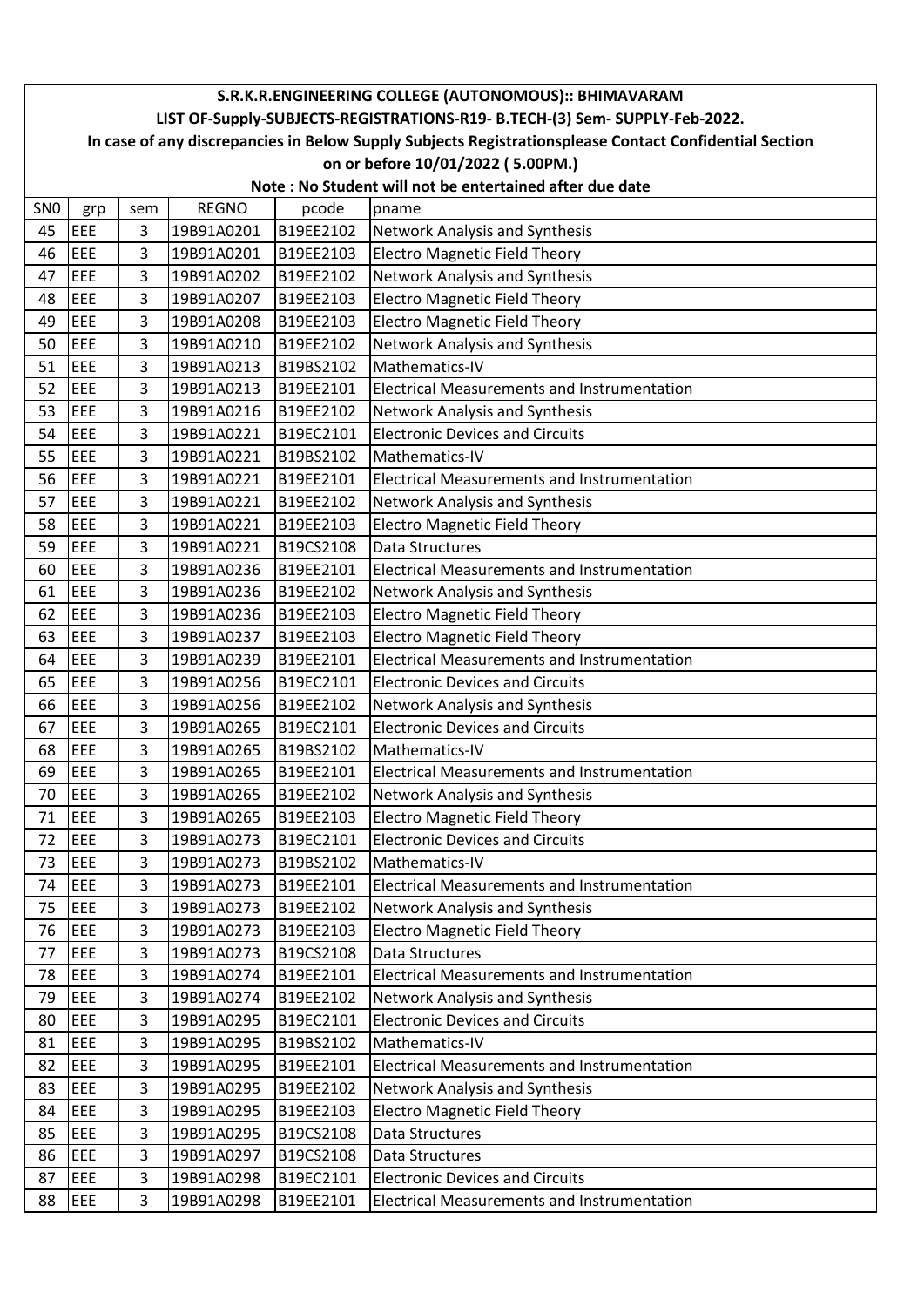|                 | S.R.K.R.ENGINEERING COLLEGE (AUTONOMOUS):: BHIMAVARAM                                                  |                |              |           |                                                         |  |  |  |
|-----------------|--------------------------------------------------------------------------------------------------------|----------------|--------------|-----------|---------------------------------------------------------|--|--|--|
|                 | LIST OF-Supply-SUBJECTS-REGISTRATIONS-R19- B.TECH-(3) Sem- SUPPLY-Feb-2022.                            |                |              |           |                                                         |  |  |  |
|                 | In case of any discrepancies in Below Supply Subjects Registrationsplease Contact Confidential Section |                |              |           |                                                         |  |  |  |
|                 |                                                                                                        |                |              |           | on or before 10/01/2022 (5.00PM.)                       |  |  |  |
|                 |                                                                                                        |                |              |           | Note: No Student will not be entertained after due date |  |  |  |
| SN <sub>0</sub> | grp                                                                                                    | sem            | <b>REGNO</b> | pcode     | pname                                                   |  |  |  |
| 45              | EEE                                                                                                    | 3              | 19B91A0201   | B19EE2102 | Network Analysis and Synthesis                          |  |  |  |
| 46              | EEE                                                                                                    | 3              | 19B91A0201   | B19EE2103 | <b>Electro Magnetic Field Theory</b>                    |  |  |  |
| 47              | EEE                                                                                                    | $\overline{3}$ | 19B91A0202   | B19EE2102 | Network Analysis and Synthesis                          |  |  |  |
| 48              | EEE                                                                                                    | 3              | 19B91A0207   | B19EE2103 | <b>Electro Magnetic Field Theory</b>                    |  |  |  |
| 49              | EEE                                                                                                    | $\overline{3}$ | 19B91A0208   | B19EE2103 | <b>Electro Magnetic Field Theory</b>                    |  |  |  |
| 50              | EEE                                                                                                    | 3              | 19B91A0210   | B19EE2102 | Network Analysis and Synthesis                          |  |  |  |
| 51              | EEE                                                                                                    | 3              | 19B91A0213   | B19BS2102 | Mathematics-IV                                          |  |  |  |
| 52              | EEE                                                                                                    | 3              | 19B91A0213   | B19EE2101 | <b>Electrical Measurements and Instrumentation</b>      |  |  |  |
| 53              | EEE                                                                                                    | 3              | 19B91A0216   | B19EE2102 | Network Analysis and Synthesis                          |  |  |  |
| 54              | EEE                                                                                                    | 3              | 19B91A0221   | B19EC2101 | <b>Electronic Devices and Circuits</b>                  |  |  |  |
| 55              | EEE                                                                                                    | 3              | 19B91A0221   | B19BS2102 | Mathematics-IV                                          |  |  |  |
| 56              | EEE                                                                                                    | $\overline{3}$ | 19B91A0221   | B19EE2101 | <b>Electrical Measurements and Instrumentation</b>      |  |  |  |
| 57              | EEE                                                                                                    | 3              | 19B91A0221   | B19EE2102 | Network Analysis and Synthesis                          |  |  |  |
| 58              | EEE                                                                                                    | 3              | 19B91A0221   | B19EE2103 | <b>Electro Magnetic Field Theory</b>                    |  |  |  |
| 59              | EEE                                                                                                    | 3              | 19B91A0221   | B19CS2108 | Data Structures                                         |  |  |  |
| 60              | EEE                                                                                                    | 3              | 19B91A0236   | B19EE2101 | <b>Electrical Measurements and Instrumentation</b>      |  |  |  |
| 61              | EEE                                                                                                    | $\overline{3}$ | 19B91A0236   | B19EE2102 | Network Analysis and Synthesis                          |  |  |  |
| 62              | EEE                                                                                                    | 3              | 19B91A0236   | B19EE2103 | <b>Electro Magnetic Field Theory</b>                    |  |  |  |
| 63              | EEE                                                                                                    | 3              | 19B91A0237   | B19EE2103 | <b>Electro Magnetic Field Theory</b>                    |  |  |  |
| 64              | EEE                                                                                                    | 3              | 19B91A0239   | B19EE2101 | <b>Electrical Measurements and Instrumentation</b>      |  |  |  |
| 65              | EEE                                                                                                    | 3              | 19B91A0256   | B19EC2101 | <b>Electronic Devices and Circuits</b>                  |  |  |  |
| 66              | EEE                                                                                                    | 3              | 19B91A0256   | B19EE2102 | Network Analysis and Synthesis                          |  |  |  |
| 67              | EEE                                                                                                    | 3              | 19B91A0265   | B19EC2101 | <b>Electronic Devices and Circuits</b>                  |  |  |  |
| 68              | EEE                                                                                                    | $\overline{3}$ | 19B91A0265   | B19BS2102 | Mathematics-IV                                          |  |  |  |
| 69              | EEE                                                                                                    | 3              | 19B91A0265   | B19EE2101 | <b>Electrical Measurements and Instrumentation</b>      |  |  |  |
| 70              | EEE                                                                                                    | 3              | 19B91A0265   | B19EE2102 | Network Analysis and Synthesis                          |  |  |  |
| 71              | EEE                                                                                                    | 3              | 19B91A0265   | B19EE2103 | <b>Electro Magnetic Field Theory</b>                    |  |  |  |
| 72              | EEE                                                                                                    | 3              | 19B91A0273   | B19EC2101 | <b>Electronic Devices and Circuits</b>                  |  |  |  |
| 73              | EEE                                                                                                    | $\overline{3}$ | 19B91A0273   | B19BS2102 | Mathematics-IV                                          |  |  |  |
| 74              | EEE                                                                                                    | 3              | 19B91A0273   | B19EE2101 | <b>Electrical Measurements and Instrumentation</b>      |  |  |  |
| 75              | EEE                                                                                                    | $\overline{3}$ | 19B91A0273   | B19EE2102 | Network Analysis and Synthesis                          |  |  |  |
| 76              | EEE                                                                                                    | 3              | 19B91A0273   | B19EE2103 | <b>Electro Magnetic Field Theory</b>                    |  |  |  |
| 77              | EEE                                                                                                    | 3              | 19B91A0273   | B19CS2108 | Data Structures                                         |  |  |  |
| 78              | EEE                                                                                                    | 3              | 19B91A0274   | B19EE2101 | <b>Electrical Measurements and Instrumentation</b>      |  |  |  |
| 79              | EEE                                                                                                    | 3              | 19B91A0274   | B19EE2102 | Network Analysis and Synthesis                          |  |  |  |
| 80              | EEE                                                                                                    | 3              | 19B91A0295   | B19EC2101 | <b>Electronic Devices and Circuits</b>                  |  |  |  |
| 81              | EEE                                                                                                    | $\overline{3}$ | 19B91A0295   | B19BS2102 | Mathematics-IV                                          |  |  |  |
| 82              | EEE                                                                                                    | 3              | 19B91A0295   | B19EE2101 | <b>Electrical Measurements and Instrumentation</b>      |  |  |  |
| 83              | EEE                                                                                                    | 3              | 19B91A0295   | B19EE2102 | Network Analysis and Synthesis                          |  |  |  |
| 84              | EEE                                                                                                    | 3              | 19B91A0295   | B19EE2103 | <b>Electro Magnetic Field Theory</b>                    |  |  |  |
| 85              | EEE                                                                                                    | 3              | 19B91A0295   | B19CS2108 | Data Structures                                         |  |  |  |
| 86              | EEE                                                                                                    | 3              | 19B91A0297   | B19CS2108 | Data Structures                                         |  |  |  |
| 87              | EEE                                                                                                    | $\overline{3}$ | 19B91A0298   | B19EC2101 | <b>Electronic Devices and Circuits</b>                  |  |  |  |
| 88              | EEE                                                                                                    | 3              | 19B91A0298   | B19EE2101 | <b>Electrical Measurements and Instrumentation</b>      |  |  |  |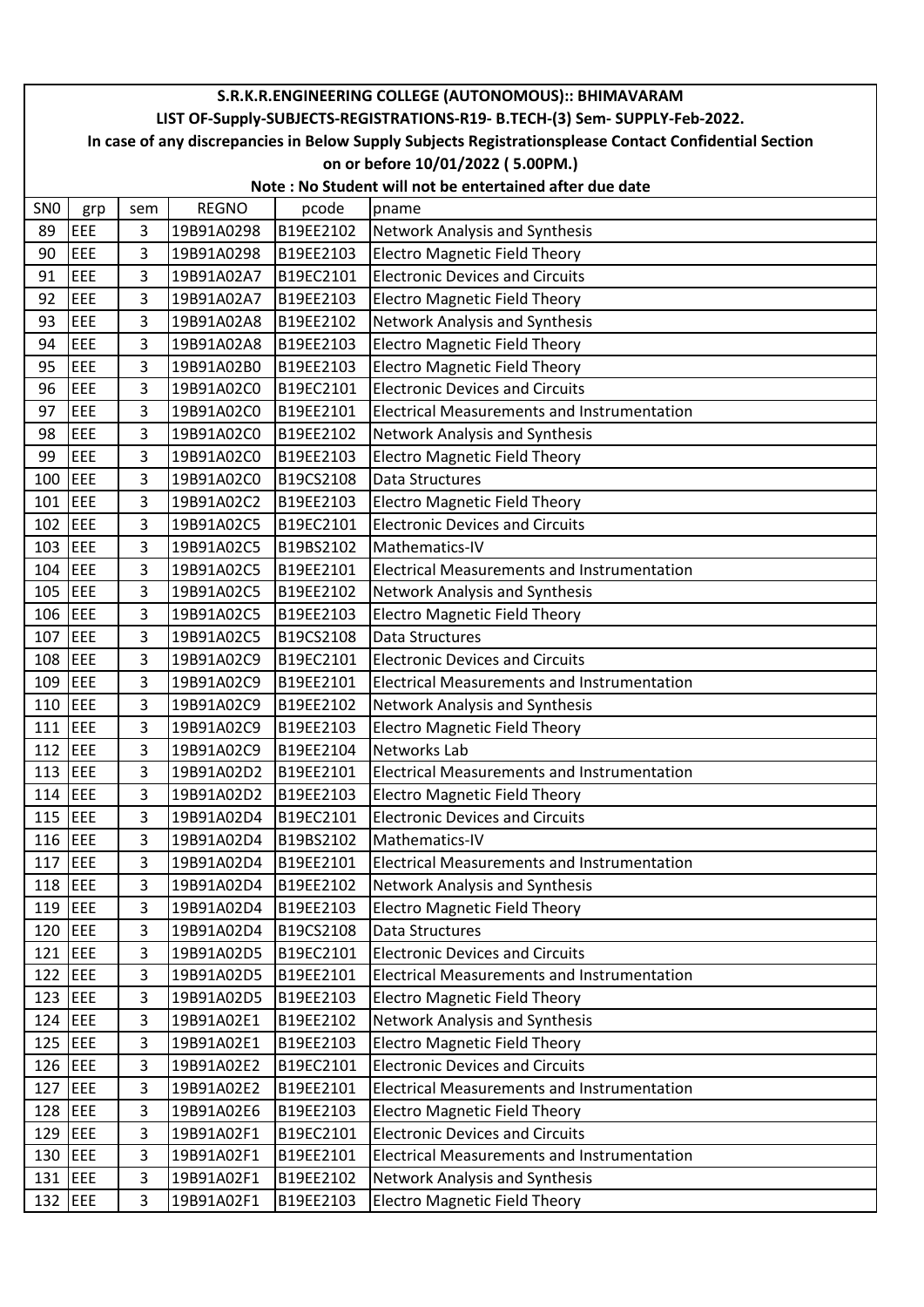|                 | S.R.K.R.ENGINEERING COLLEGE (AUTONOMOUS):: BHIMAVARAM                                                  |                |              |           |                                                    |  |  |  |  |  |
|-----------------|--------------------------------------------------------------------------------------------------------|----------------|--------------|-----------|----------------------------------------------------|--|--|--|--|--|
|                 | LIST OF-Supply-SUBJECTS-REGISTRATIONS-R19- B.TECH-(3) Sem- SUPPLY-Feb-2022.                            |                |              |           |                                                    |  |  |  |  |  |
|                 | In case of any discrepancies in Below Supply Subjects Registrationsplease Contact Confidential Section |                |              |           |                                                    |  |  |  |  |  |
|                 |                                                                                                        |                |              |           | on or before 10/01/2022 (5.00PM.)                  |  |  |  |  |  |
|                 | Note: No Student will not be entertained after due date                                                |                |              |           |                                                    |  |  |  |  |  |
| SN <sub>0</sub> | grp                                                                                                    | sem            | <b>REGNO</b> | pcode     | pname                                              |  |  |  |  |  |
| 89              | EEE                                                                                                    | 3              | 19B91A0298   | B19EE2102 | Network Analysis and Synthesis                     |  |  |  |  |  |
| 90              | EEE                                                                                                    | 3              | 19B91A0298   | B19EE2103 | <b>Electro Magnetic Field Theory</b>               |  |  |  |  |  |
| 91              | EEE                                                                                                    | 3              | 19B91A02A7   | B19EC2101 | <b>Electronic Devices and Circuits</b>             |  |  |  |  |  |
| 92              | EEE                                                                                                    | 3              | 19B91A02A7   | B19EE2103 | <b>Electro Magnetic Field Theory</b>               |  |  |  |  |  |
| 93              | EEE                                                                                                    | 3              | 19B91A02A8   | B19EE2102 | <b>Network Analysis and Synthesis</b>              |  |  |  |  |  |
| 94              | EEE                                                                                                    | 3              | 19B91A02A8   | B19EE2103 | <b>Electro Magnetic Field Theory</b>               |  |  |  |  |  |
| 95              | EEE                                                                                                    | 3              | 19B91A02B0   | B19EE2103 | <b>Electro Magnetic Field Theory</b>               |  |  |  |  |  |
| 96              | EEE                                                                                                    | 3              | 19B91A02C0   | B19EC2101 | <b>Electronic Devices and Circuits</b>             |  |  |  |  |  |
| 97              | EEE                                                                                                    | 3              | 19B91A02C0   | B19EE2101 | <b>Electrical Measurements and Instrumentation</b> |  |  |  |  |  |
| 98              | EEE                                                                                                    | 3              | 19B91A02C0   | B19EE2102 | Network Analysis and Synthesis                     |  |  |  |  |  |
| 99              | <b>EEE</b>                                                                                             | 3              | 19B91A02C0   | B19EE2103 | <b>Electro Magnetic Field Theory</b>               |  |  |  |  |  |
| 100             | EEE                                                                                                    | 3              | 19B91A02C0   | B19CS2108 | <b>Data Structures</b>                             |  |  |  |  |  |
| $101$ EEE       |                                                                                                        | 3              | 19B91A02C2   | B19EE2103 | <b>Electro Magnetic Field Theory</b>               |  |  |  |  |  |
| 102 EEE         |                                                                                                        | 3              | 19B91A02C5   | B19EC2101 | <b>Electronic Devices and Circuits</b>             |  |  |  |  |  |
| $103$ EEE       |                                                                                                        | 3              | 19B91A02C5   | B19BS2102 | Mathematics-IV                                     |  |  |  |  |  |
| 104             | EEE                                                                                                    | 3              | 19B91A02C5   | B19EE2101 | <b>Electrical Measurements and Instrumentation</b> |  |  |  |  |  |
| $105$ EEE       |                                                                                                        | 3              | 19B91A02C5   | B19EE2102 | Network Analysis and Synthesis                     |  |  |  |  |  |
| 106 EEE         |                                                                                                        | 3              | 19B91A02C5   | B19EE2103 | <b>Electro Magnetic Field Theory</b>               |  |  |  |  |  |
| 107 EEE         |                                                                                                        | 3              | 19B91A02C5   | B19CS2108 | <b>Data Structures</b>                             |  |  |  |  |  |
| 108 EEE         |                                                                                                        | 3              | 19B91A02C9   | B19EC2101 | <b>Electronic Devices and Circuits</b>             |  |  |  |  |  |
| 109             | EEE                                                                                                    | 3              | 19B91A02C9   | B19EE2101 | <b>Electrical Measurements and Instrumentation</b> |  |  |  |  |  |
| 110             | <b>EEE</b>                                                                                             | 3              | 19B91A02C9   | B19EE2102 | Network Analysis and Synthesis                     |  |  |  |  |  |
| 111             | <b>JEEE</b>                                                                                            | 3              | 19B91A02C9   | B19EE2103 | <b>Electro Magnetic Field Theory</b>               |  |  |  |  |  |
| 112 $EEE$       |                                                                                                        | 3              | 19B91A02C9   | B19EE2104 | <b>Networks Lab</b>                                |  |  |  |  |  |
| 113 EEE         |                                                                                                        | 3              | 19B91A02D2   | B19EE2101 | <b>Electrical Measurements and Instrumentation</b> |  |  |  |  |  |
| 114 EEE         |                                                                                                        | 3              | 19B91A02D2   | B19EE2103 | <b>Electro Magnetic Field Theory</b>               |  |  |  |  |  |
| $115$ EEE       |                                                                                                        | 3              | 19B91A02D4   | B19EC2101 | <b>Electronic Devices and Circuits</b>             |  |  |  |  |  |
| 116 EEE         |                                                                                                        | 3              | 19B91A02D4   | B19BS2102 | Mathematics-IV                                     |  |  |  |  |  |
| $117$ EEE       |                                                                                                        | $\overline{3}$ | 19B91A02D4   | B19EE2101 | <b>Electrical Measurements and Instrumentation</b> |  |  |  |  |  |
| 118 EEE         |                                                                                                        | 3              | 19B91A02D4   | B19EE2102 | Network Analysis and Synthesis                     |  |  |  |  |  |
| $119$ EEE       |                                                                                                        | 3              | 19B91A02D4   | B19EE2103 | <b>Electro Magnetic Field Theory</b>               |  |  |  |  |  |
| 120 EEE         |                                                                                                        | 3              | 19B91A02D4   | B19CS2108 | Data Structures                                    |  |  |  |  |  |
| 121 EEE         |                                                                                                        | 3              | 19B91A02D5   | B19EC2101 | <b>Electronic Devices and Circuits</b>             |  |  |  |  |  |
| 122 EEE         |                                                                                                        | 3              | 19B91A02D5   | B19EE2101 | <b>Electrical Measurements and Instrumentation</b> |  |  |  |  |  |
| 123 EEE         |                                                                                                        | 3              | 19B91A02D5   | B19EE2103 | <b>Electro Magnetic Field Theory</b>               |  |  |  |  |  |
| $124$ EEE       |                                                                                                        | 3              | 19B91A02E1   | B19EE2102 | Network Analysis and Synthesis                     |  |  |  |  |  |
| $125$ EEE       |                                                                                                        | 3              | 19B91A02E1   | B19EE2103 | <b>Electro Magnetic Field Theory</b>               |  |  |  |  |  |
| 126 EEE         |                                                                                                        | 3              | 19B91A02E2   | B19EC2101 | <b>Electronic Devices and Circuits</b>             |  |  |  |  |  |
| 127             | EEE                                                                                                    | 3              | 19B91A02E2   | B19EE2101 | Electrical Measurements and Instrumentation        |  |  |  |  |  |
| 128 EEE         |                                                                                                        | 3              | 19B91A02E6   | B19EE2103 | <b>Electro Magnetic Field Theory</b>               |  |  |  |  |  |
|                 | 129 EEE                                                                                                | 3              | 19B91A02F1   | B19EC2101 | <b>Electronic Devices and Circuits</b>             |  |  |  |  |  |
| 130             | EEE                                                                                                    | 3              | 19B91A02F1   | B19EE2101 | <b>Electrical Measurements and Instrumentation</b> |  |  |  |  |  |
| 131 EEE         |                                                                                                        | 3              | 19B91A02F1   | B19EE2102 | Network Analysis and Synthesis                     |  |  |  |  |  |
| 132 EEE         |                                                                                                        | 3              | 19B91A02F1   | B19EE2103 | <b>Electro Magnetic Field Theory</b>               |  |  |  |  |  |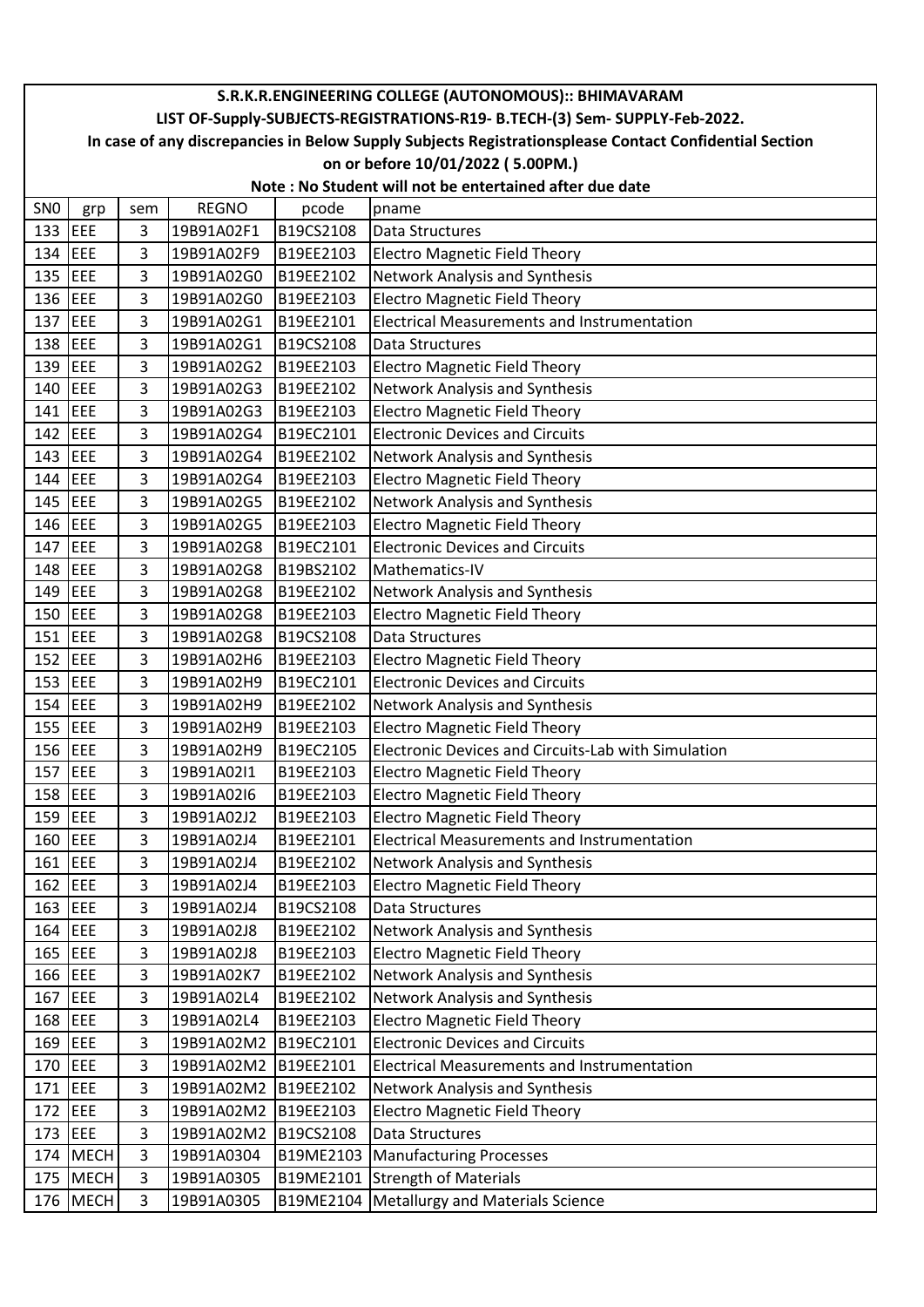|                 | S.R.K.R.ENGINEERING COLLEGE (AUTONOMOUS):: BHIMAVARAM                       |     |                      |           |                                                                                                        |  |  |  |  |
|-----------------|-----------------------------------------------------------------------------|-----|----------------------|-----------|--------------------------------------------------------------------------------------------------------|--|--|--|--|
|                 | LIST OF-Supply-SUBJECTS-REGISTRATIONS-R19- B.TECH-(3) Sem- SUPPLY-Feb-2022. |     |                      |           |                                                                                                        |  |  |  |  |
|                 |                                                                             |     |                      |           | In case of any discrepancies in Below Supply Subjects Registrationsplease Contact Confidential Section |  |  |  |  |
|                 |                                                                             |     |                      |           | on or before 10/01/2022 (5.00PM.)                                                                      |  |  |  |  |
|                 | Note: No Student will not be entertained after due date                     |     |                      |           |                                                                                                        |  |  |  |  |
| SN <sub>0</sub> | grp                                                                         | sem | <b>REGNO</b>         | pcode     | pname                                                                                                  |  |  |  |  |
| 133 $EEE$       |                                                                             | 3   | 19B91A02F1           | B19CS2108 | Data Structures                                                                                        |  |  |  |  |
| 134             | <b>EEE</b>                                                                  | 3   | 19B91A02F9           | B19EE2103 | <b>Electro Magnetic Field Theory</b>                                                                   |  |  |  |  |
| 135 EEE         |                                                                             | 3   | 19B91A02G0           | B19EE2102 | Network Analysis and Synthesis                                                                         |  |  |  |  |
| 136 EEE         |                                                                             | 3   | 19B91A02G0           | B19EE2103 | <b>Electro Magnetic Field Theory</b>                                                                   |  |  |  |  |
| 137 EEE         |                                                                             | 3   | 19B91A02G1           | B19EE2101 | <b>Electrical Measurements and Instrumentation</b>                                                     |  |  |  |  |
| 138 EEE         |                                                                             | 3   | 19B91A02G1           | B19CS2108 | Data Structures                                                                                        |  |  |  |  |
| 139             | EEE                                                                         | 3   | 19B91A02G2           | B19EE2103 | <b>Electro Magnetic Field Theory</b>                                                                   |  |  |  |  |
| 140 EEE         |                                                                             | 3   | 19B91A02G3           | B19EE2102 | Network Analysis and Synthesis                                                                         |  |  |  |  |
| 141 EEE         |                                                                             | 3   | 19B91A02G3           | B19EE2103 | <b>Electro Magnetic Field Theory</b>                                                                   |  |  |  |  |
| 142 EEE         |                                                                             | 3   | 19B91A02G4           | B19EC2101 | <b>Electronic Devices and Circuits</b>                                                                 |  |  |  |  |
| $143$ EEE       |                                                                             | 3   | 19B91A02G4           | B19EE2102 | Network Analysis and Synthesis                                                                         |  |  |  |  |
| 144 EEE         |                                                                             | 3   | 19B91A02G4           | B19EE2103 | <b>Electro Magnetic Field Theory</b>                                                                   |  |  |  |  |
| 145 EEE         |                                                                             | 3   | 19B91A02G5           | B19EE2102 | Network Analysis and Synthesis                                                                         |  |  |  |  |
| 146 EEE         |                                                                             | 3   | 19B91A02G5           | B19EE2103 | <b>Electro Magnetic Field Theory</b>                                                                   |  |  |  |  |
| 147             | EEE                                                                         | 3   | 19B91A02G8           | B19EC2101 | <b>Electronic Devices and Circuits</b>                                                                 |  |  |  |  |
| 148 EEE         |                                                                             | 3   | 19B91A02G8           | B19BS2102 | Mathematics-IV                                                                                         |  |  |  |  |
| 149 EEE         |                                                                             | 3   | 19B91A02G8           | B19EE2102 | Network Analysis and Synthesis                                                                         |  |  |  |  |
| 150 EEE         |                                                                             | 3   | 19B91A02G8           | B19EE2103 | <b>Electro Magnetic Field Theory</b>                                                                   |  |  |  |  |
| 151 $EEE$       |                                                                             | 3   | 19B91A02G8           | B19CS2108 | Data Structures                                                                                        |  |  |  |  |
| 152 EEE         |                                                                             | 3   | 19B91A02H6           | B19EE2103 | <b>Electro Magnetic Field Theory</b>                                                                   |  |  |  |  |
| $153$ EEE       |                                                                             | 3   | 19B91A02H9           | B19EC2101 | <b>Electronic Devices and Circuits</b>                                                                 |  |  |  |  |
| 154             | EEE                                                                         | 3   | 19B91A02H9           | B19EE2102 | Network Analysis and Synthesis                                                                         |  |  |  |  |
| $155$ EEE       |                                                                             | 3   | 19B91A02H9           | B19EE2103 | <b>Electro Magnetic Field Theory</b>                                                                   |  |  |  |  |
| 156 EEE         |                                                                             | 3   | 19B91A02H9           | B19EC2105 | Electronic Devices and Circuits-Lab with Simulation                                                    |  |  |  |  |
| 157 EEE         |                                                                             | 3   | 19B91A02I1           | B19EE2103 | <b>Electro Magnetic Field Theory</b>                                                                   |  |  |  |  |
| 158 EEE         |                                                                             | 3   | 19B91A02I6           | B19EE2103 | <b>Electro Magnetic Field Theory</b>                                                                   |  |  |  |  |
| 159 EEE         |                                                                             | 3   | 19B91A02J2           | B19EE2103 | <b>Electro Magnetic Field Theory</b>                                                                   |  |  |  |  |
| 160 EEE         |                                                                             | 3   | 19B91A02J4           | B19EE2101 | <b>Electrical Measurements and Instrumentation</b>                                                     |  |  |  |  |
| 161 EEE         |                                                                             | 3   | 19B91A02J4           | B19EE2102 | Network Analysis and Synthesis                                                                         |  |  |  |  |
| $162$ EEE       |                                                                             | 3   | 19B91A02J4           | B19EE2103 | <b>Electro Magnetic Field Theory</b>                                                                   |  |  |  |  |
| 163 EEE         |                                                                             | 3   | 19B91A02J4           | B19CS2108 | Data Structures                                                                                        |  |  |  |  |
| 164 EEE         |                                                                             | 3   | 19B91A02J8           | B19EE2102 | Network Analysis and Synthesis                                                                         |  |  |  |  |
| 165 EEE         |                                                                             | 3   | 19B91A02J8           | B19EE2103 | <b>Electro Magnetic Field Theory</b>                                                                   |  |  |  |  |
| 166 EEE         |                                                                             | 3   | 19B91A02K7           | B19EE2102 | Network Analysis and Synthesis                                                                         |  |  |  |  |
| 167 EEE         |                                                                             | 3   | 19B91A02L4           | B19EE2102 | Network Analysis and Synthesis                                                                         |  |  |  |  |
| 168 EEE         |                                                                             | 3   | 19B91A02L4           | B19EE2103 | <b>Electro Magnetic Field Theory</b>                                                                   |  |  |  |  |
| 169 EEE         |                                                                             | 3   | 19B91A02M2           | B19EC2101 | <b>Electronic Devices and Circuits</b>                                                                 |  |  |  |  |
| 170 EEE         |                                                                             | 3   | 19B91A02M2 B19EE2101 |           | Electrical Measurements and Instrumentation                                                            |  |  |  |  |
| 171 EEE         |                                                                             | 3   | 19B91A02M2 B19EE2102 |           | Network Analysis and Synthesis                                                                         |  |  |  |  |
| 172 EEE         |                                                                             | 3   | 19B91A02M2           | B19EE2103 | <b>Electro Magnetic Field Theory</b>                                                                   |  |  |  |  |
| 173 EEE         |                                                                             | 3   | 19B91A02M2           | B19CS2108 | Data Structures                                                                                        |  |  |  |  |
|                 | 174 MECH                                                                    | 3   | 19B91A0304           | B19ME2103 | Manufacturing Processes                                                                                |  |  |  |  |
|                 | 175 MECH                                                                    | 3   | 19B91A0305           | B19ME2101 | <b>Strength of Materials</b>                                                                           |  |  |  |  |
|                 | 176 MECH                                                                    | 3   | 19B91A0305           | B19ME2104 | Metallurgy and Materials Science                                                                       |  |  |  |  |
|                 |                                                                             |     |                      |           |                                                                                                        |  |  |  |  |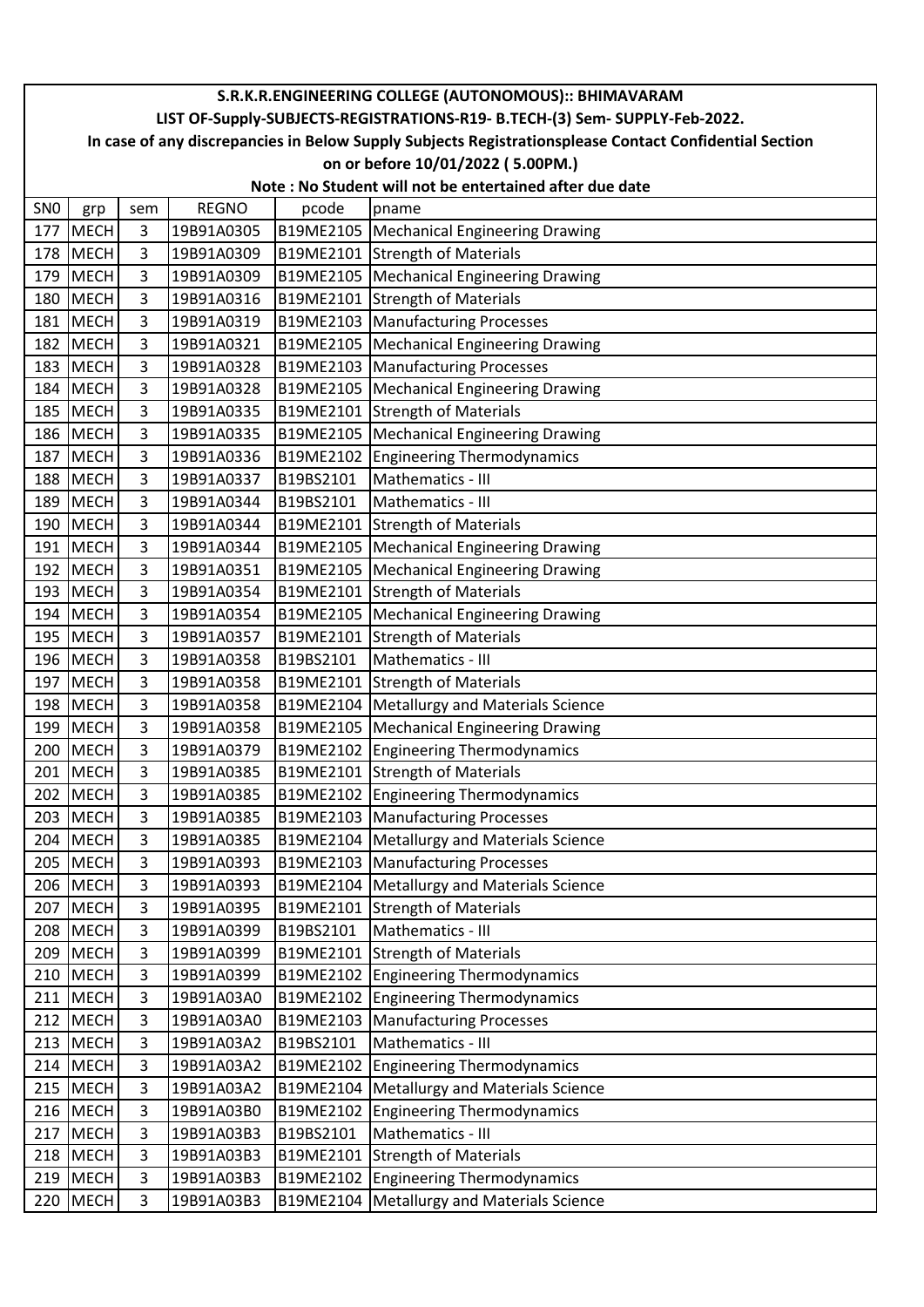|                 | S.R.K.R.ENGINEERING COLLEGE (AUTONOMOUS):: BHIMAVARAM                                                                                                                                 |                |              |           |                                                         |  |  |  |
|-----------------|---------------------------------------------------------------------------------------------------------------------------------------------------------------------------------------|----------------|--------------|-----------|---------------------------------------------------------|--|--|--|
|                 | LIST OF-Supply-SUBJECTS-REGISTRATIONS-R19- B.TECH-(3) Sem- SUPPLY-Feb-2022.<br>In case of any discrepancies in Below Supply Subjects Registrationsplease Contact Confidential Section |                |              |           |                                                         |  |  |  |
|                 |                                                                                                                                                                                       |                |              |           |                                                         |  |  |  |
|                 |                                                                                                                                                                                       |                |              |           | on or before 10/01/2022 (5.00PM.)                       |  |  |  |
|                 |                                                                                                                                                                                       |                |              |           | Note: No Student will not be entertained after due date |  |  |  |
| SN <sub>0</sub> | grp                                                                                                                                                                                   | sem            | <b>REGNO</b> | pcode     | pname                                                   |  |  |  |
| 177             | <b>MECH</b>                                                                                                                                                                           | 3              | 19B91A0305   |           | B19ME2105   Mechanical Engineering Drawing              |  |  |  |
|                 | 178 MECH                                                                                                                                                                              | $\overline{3}$ | 19B91A0309   |           | B19ME2101 Strength of Materials                         |  |  |  |
| 179             | MECH                                                                                                                                                                                  | 3              | 19B91A0309   |           | B19ME2105   Mechanical Engineering Drawing              |  |  |  |
|                 | 180 MECH                                                                                                                                                                              | 3              | 19B91A0316   |           | B19ME2101 Strength of Materials                         |  |  |  |
| 181             | MECH                                                                                                                                                                                  | 3              | 19B91A0319   |           | B19ME2103   Manufacturing Processes                     |  |  |  |
| 182             | <b>MECH</b>                                                                                                                                                                           | 3              | 19B91A0321   |           | B19ME2105   Mechanical Engineering Drawing              |  |  |  |
| 183             | <b>MECH</b>                                                                                                                                                                           | 3              | 19B91A0328   |           | B19ME2103   Manufacturing Processes                     |  |  |  |
| 184             | <b>MECH</b>                                                                                                                                                                           | 3              | 19B91A0328   |           | B19ME2105   Mechanical Engineering Drawing              |  |  |  |
| 185             | <b>MECH</b>                                                                                                                                                                           | 3              | 19B91A0335   |           | B19ME2101 Strength of Materials                         |  |  |  |
|                 | 186 MECH                                                                                                                                                                              | 3              | 19B91A0335   |           | B19ME2105   Mechanical Engineering Drawing              |  |  |  |
| 187             | MECH                                                                                                                                                                                  | 3              | 19B91A0336   | B19ME2102 | <b>Engineering Thermodynamics</b>                       |  |  |  |
|                 | 188 MECH                                                                                                                                                                              | 3              | 19B91A0337   | B19BS2101 | Mathematics - III                                       |  |  |  |
| 189             | <b>MECH</b>                                                                                                                                                                           | 3              | 19B91A0344   | B19BS2101 | Mathematics - III                                       |  |  |  |
| 190             | MECH                                                                                                                                                                                  | 3              | 19B91A0344   |           | B19ME2101 Strength of Materials                         |  |  |  |
| 191             | <b>MECH</b>                                                                                                                                                                           | 3              | 19B91A0344   |           | B19ME2105   Mechanical Engineering Drawing              |  |  |  |
| 192             | <b>MECH</b>                                                                                                                                                                           | 3              | 19B91A0351   |           | B19ME2105   Mechanical Engineering Drawing              |  |  |  |
| 193             | <b>MECH</b>                                                                                                                                                                           | 3              | 19B91A0354   |           | B19ME2101 Strength of Materials                         |  |  |  |
| 194             | <b>MECH</b>                                                                                                                                                                           | 3              | 19B91A0354   |           | B19ME2105   Mechanical Engineering Drawing              |  |  |  |
| 195             | <b>MECH</b>                                                                                                                                                                           | 3              | 19B91A0357   |           | B19ME2101 Strength of Materials                         |  |  |  |
| 196             | <b>MECH</b>                                                                                                                                                                           | 3              | 19B91A0358   | B19BS2101 | Mathematics - III                                       |  |  |  |
| 197             | <b>MECH</b>                                                                                                                                                                           | $\overline{3}$ | 19B91A0358   |           | B19ME2101 Strength of Materials                         |  |  |  |
|                 | 198 MECH                                                                                                                                                                              | 3              | 19B91A0358   |           | B19ME2104   Metallurgy and Materials Science            |  |  |  |
|                 | 199 MECH                                                                                                                                                                              | 3              | 19B91A0358   |           | B19ME2105   Mechanical Engineering Drawing              |  |  |  |
| 200             | <b>MECH</b>                                                                                                                                                                           | 3              | 19B91A0379   |           | B19ME2102 Engineering Thermodynamics                    |  |  |  |
|                 | 201 MECH                                                                                                                                                                              | 3              | 19B91A0385   |           | B19ME2101 Strength of Materials                         |  |  |  |
|                 | 202 MECH                                                                                                                                                                              | 3              | 19B91A0385   |           | B19ME2102 Engineering Thermodynamics                    |  |  |  |
| 203             | MECH                                                                                                                                                                                  | 3              | 19B91A0385   |           | B19ME2103   Manufacturing Processes                     |  |  |  |
|                 | 204 MECH                                                                                                                                                                              | 3              | 19B91A0385   |           | B19ME2104   Metallurgy and Materials Science            |  |  |  |
|                 | 205 MECH                                                                                                                                                                              | 3              | 19B91A0393   |           | B19ME2103 Manufacturing Processes                       |  |  |  |
|                 | 206 MECH                                                                                                                                                                              | 3              | 19B91A0393   |           | B19ME2104   Metallurgy and Materials Science            |  |  |  |
|                 | 207 MECH                                                                                                                                                                              | 3              | 19B91A0395   |           | B19ME2101 Strength of Materials                         |  |  |  |
|                 | 208 MECH                                                                                                                                                                              | 3              | 19B91A0399   | B19BS2101 | Mathematics - III                                       |  |  |  |
|                 | 209 MECH                                                                                                                                                                              | 3              | 19B91A0399   |           | B19ME2101 Strength of Materials                         |  |  |  |
|                 | 210 MECH                                                                                                                                                                              | 3              | 19B91A0399   |           | B19ME2102 Engineering Thermodynamics                    |  |  |  |
|                 | 211 MECH                                                                                                                                                                              | 3              | 19B91A03A0   |           | B19ME2102 Engineering Thermodynamics                    |  |  |  |
|                 | 212 MECH                                                                                                                                                                              | 3              | 19B91A03A0   |           | B19ME2103   Manufacturing Processes                     |  |  |  |
|                 | 213 MECH                                                                                                                                                                              | 3              | 19B91A03A2   | B19BS2101 | Mathematics - III                                       |  |  |  |
|                 | 214 MECH                                                                                                                                                                              | 3              | 19B91A03A2   |           | B19ME2102 Engineering Thermodynamics                    |  |  |  |
|                 | 215 MECH                                                                                                                                                                              | 3              | 19B91A03A2   |           | B19ME2104   Metallurgy and Materials Science            |  |  |  |
|                 | 216 MECH                                                                                                                                                                              | 3              | 19B91A03B0   |           | B19ME2102 Engineering Thermodynamics                    |  |  |  |
|                 | 217 MECH                                                                                                                                                                              | 3              | 19B91A03B3   | B19BS2101 | Mathematics - III                                       |  |  |  |
|                 | 218 MECH                                                                                                                                                                              | 3              | 19B91A03B3   |           | B19ME2101 Strength of Materials                         |  |  |  |
|                 | 219 MECH                                                                                                                                                                              | 3              | 19B91A03B3   |           | B19ME2102 Engineering Thermodynamics                    |  |  |  |
|                 | 220 MECH                                                                                                                                                                              | 3              | 19B91A03B3   |           | B19ME2104   Metallurgy and Materials Science            |  |  |  |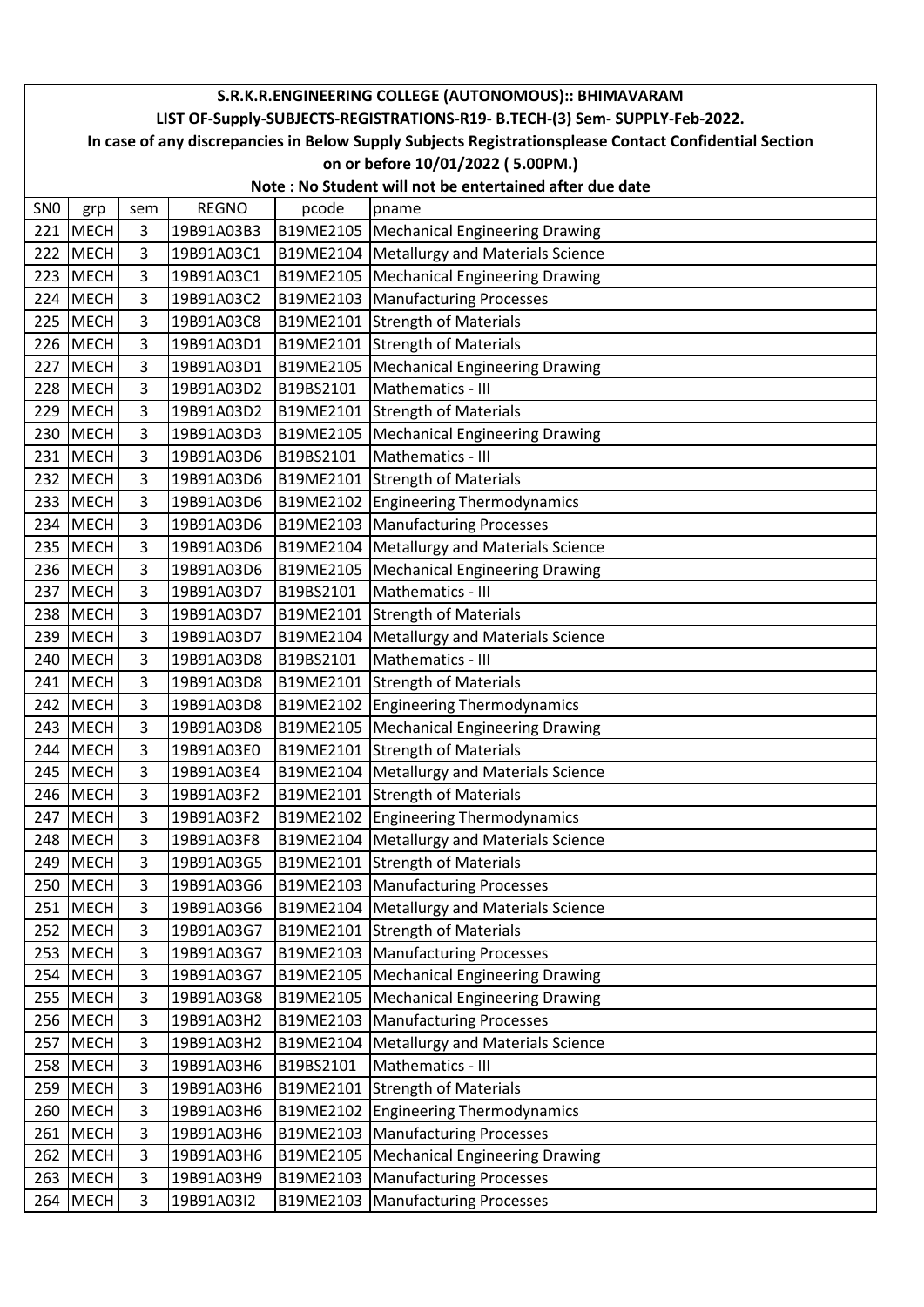|                 | S.R.K.R.ENGINEERING COLLEGE (AUTONOMOUS):: BHIMAVARAM                                                  |                |                          |           |                                                                      |  |  |  |  |
|-----------------|--------------------------------------------------------------------------------------------------------|----------------|--------------------------|-----------|----------------------------------------------------------------------|--|--|--|--|
|                 | LIST OF-Supply-SUBJECTS-REGISTRATIONS-R19- B.TECH-(3) Sem- SUPPLY-Feb-2022.                            |                |                          |           |                                                                      |  |  |  |  |
|                 | In case of any discrepancies in Below Supply Subjects Registrationsplease Contact Confidential Section |                |                          |           |                                                                      |  |  |  |  |
|                 | on or before 10/01/2022 (5.00PM.)<br>Note: No Student will not be entertained after due date           |                |                          |           |                                                                      |  |  |  |  |
|                 |                                                                                                        |                |                          |           |                                                                      |  |  |  |  |
| SN <sub>0</sub> | grp                                                                                                    | sem            | <b>REGNO</b>             | pcode     | pname                                                                |  |  |  |  |
| 221             | <b>MECH</b>                                                                                            | 3              | 19B91A03B3               |           | B19ME2105   Mechanical Engineering Drawing                           |  |  |  |  |
| 222             | <b>MECH</b>                                                                                            | $\overline{3}$ | 19B91A03C1               |           | B19ME2104   Metallurgy and Materials Science                         |  |  |  |  |
| 223             | <b>MECH</b>                                                                                            | 3              | 19B91A03C1               |           | B19ME2105   Mechanical Engineering Drawing                           |  |  |  |  |
|                 | 224 MECH                                                                                               | 3              | 19B91A03C2               |           | B19ME2103   Manufacturing Processes                                  |  |  |  |  |
|                 | 225 MECH                                                                                               | 3              | 19B91A03C8               |           | B19ME2101 Strength of Materials                                      |  |  |  |  |
|                 | 226 MECH                                                                                               | 3              | 19B91A03D1               |           | B19ME2101 Strength of Materials                                      |  |  |  |  |
| 227             | MECH                                                                                                   | 3              | 19B91A03D1               |           | B19ME2105   Mechanical Engineering Drawing                           |  |  |  |  |
|                 | 228 MECH                                                                                               | 3              | 19B91A03D2               | B19BS2101 | Mathematics - III                                                    |  |  |  |  |
|                 | 229 MECH                                                                                               | 3              | 19B91A03D2               |           | B19ME2101 Strength of Materials                                      |  |  |  |  |
|                 | 230 MECH                                                                                               | 3              | 19B91A03D3               |           | B19ME2105   Mechanical Engineering Drawing                           |  |  |  |  |
| 231             | <b>MECH</b>                                                                                            | 3              | 19B91A03D6               | B19BS2101 | Mathematics - III                                                    |  |  |  |  |
|                 | 232 MECH                                                                                               | 3              | 19B91A03D6               |           | B19ME2101 Strength of Materials                                      |  |  |  |  |
| 233             | <b>MECH</b>                                                                                            | 3              | 19B91A03D6               |           | B19ME2102 Engineering Thermodynamics                                 |  |  |  |  |
|                 | 234 MECH                                                                                               | 3              | 19B91A03D6               |           | B19ME2103 Manufacturing Processes                                    |  |  |  |  |
| 235             | MECH                                                                                                   | 3              | 19B91A03D6               | B19ME2104 | <b>Metallurgy and Materials Science</b>                              |  |  |  |  |
|                 | 236 MECH                                                                                               | 3              | 19B91A03D6               |           | B19ME2105   Mechanical Engineering Drawing                           |  |  |  |  |
|                 | 237 MECH                                                                                               | 3              | 19B91A03D7               | B19BS2101 | Mathematics - III                                                    |  |  |  |  |
|                 | 238 MECH                                                                                               | 3              | 19B91A03D7               |           | B19ME2101 Strength of Materials                                      |  |  |  |  |
|                 | 239 MECH                                                                                               | 3              | 19B91A03D7               |           | B19ME2104   Metallurgy and Materials Science                         |  |  |  |  |
| 240             | <b>MECH</b>                                                                                            | 3              | 19B91A03D8               | B19BS2101 | Mathematics - III                                                    |  |  |  |  |
|                 | 241 MECH                                                                                               | 3              | 19B91A03D8               |           | B19ME2101 Strength of Materials                                      |  |  |  |  |
|                 | 242 MECH                                                                                               | 3              | 19B91A03D8               |           | B19ME2102   Engineering Thermodynamics                               |  |  |  |  |
|                 | 243 MECH                                                                                               | 3              | 19B91A03D8               |           | B19ME2105   Mechanical Engineering Drawing                           |  |  |  |  |
| 244             | <b>MECH</b>                                                                                            | 3              | 19B91A03E0               |           | B19ME2101 Strength of Materials                                      |  |  |  |  |
|                 | 245 MECH                                                                                               | 3              | 19B91A03E4               |           | B19ME2104 Metallurgy and Materials Science                           |  |  |  |  |
|                 | 246 MECH                                                                                               | 3              | 19B91A03F2               |           | B19ME2101 Strength of Materials                                      |  |  |  |  |
| 247             | <b>MECH</b>                                                                                            | 3              | 19B91A03F2               |           | B19ME2102 Engineering Thermodynamics                                 |  |  |  |  |
|                 | 248 MECH                                                                                               | 3<br>3         | 19B91A03F8<br>19B91A03G5 |           | B19ME2104   Metallurgy and Materials Science                         |  |  |  |  |
|                 | 249 MECH                                                                                               |                |                          |           | B19ME2101 Strength of Materials<br>B19ME2103 Manufacturing Processes |  |  |  |  |
|                 | 250 MECH                                                                                               | 3              | 19B91A03G6<br>19B91A03G6 |           | B19ME2104   Metallurgy and Materials Science                         |  |  |  |  |
|                 | 251 MECH<br>252 MECH                                                                                   | 3<br>3         |                          |           | B19ME2101 Strength of Materials                                      |  |  |  |  |
|                 | 253 MECH                                                                                               | 3              | 19B91A03G7<br>19B91A03G7 |           | B19ME2103   Manufacturing Processes                                  |  |  |  |  |
|                 | 254 MECH                                                                                               | 3              | 19B91A03G7               |           | B19ME2105   Mechanical Engineering Drawing                           |  |  |  |  |
|                 | 255 MECH                                                                                               | 3              | 19B91A03G8               |           | B19ME2105   Mechanical Engineering Drawing                           |  |  |  |  |
|                 | 256 MECH                                                                                               | 3              | 19B91A03H2               |           | B19ME2103   Manufacturing Processes                                  |  |  |  |  |
|                 | 257 MECH                                                                                               | 3              | 19B91A03H2               |           | B19ME2104   Metallurgy and Materials Science                         |  |  |  |  |
|                 | 258 MECH                                                                                               | 3              | 19B91A03H6               | B19BS2101 | Mathematics - III                                                    |  |  |  |  |
|                 | 259 MECH                                                                                               | 3              | 19B91A03H6               |           | B19ME2101 Strength of Materials                                      |  |  |  |  |
|                 | 260 MECH                                                                                               | 3              | 19B91A03H6               |           | B19ME2102 Engineering Thermodynamics                                 |  |  |  |  |
|                 | 261 MECH                                                                                               | 3              | 19B91A03H6               |           | B19ME2103 Manufacturing Processes                                    |  |  |  |  |
|                 | 262 MECH                                                                                               | 3              | 19B91A03H6               |           | B19ME2105   Mechanical Engineering Drawing                           |  |  |  |  |
|                 | 263 MECH                                                                                               | 3              | 19B91A03H9               |           | B19ME2103 Manufacturing Processes                                    |  |  |  |  |
|                 | 264 MECH                                                                                               | 3              | 19B91A03I2               |           | B19ME2103 Manufacturing Processes                                    |  |  |  |  |
|                 |                                                                                                        |                |                          |           |                                                                      |  |  |  |  |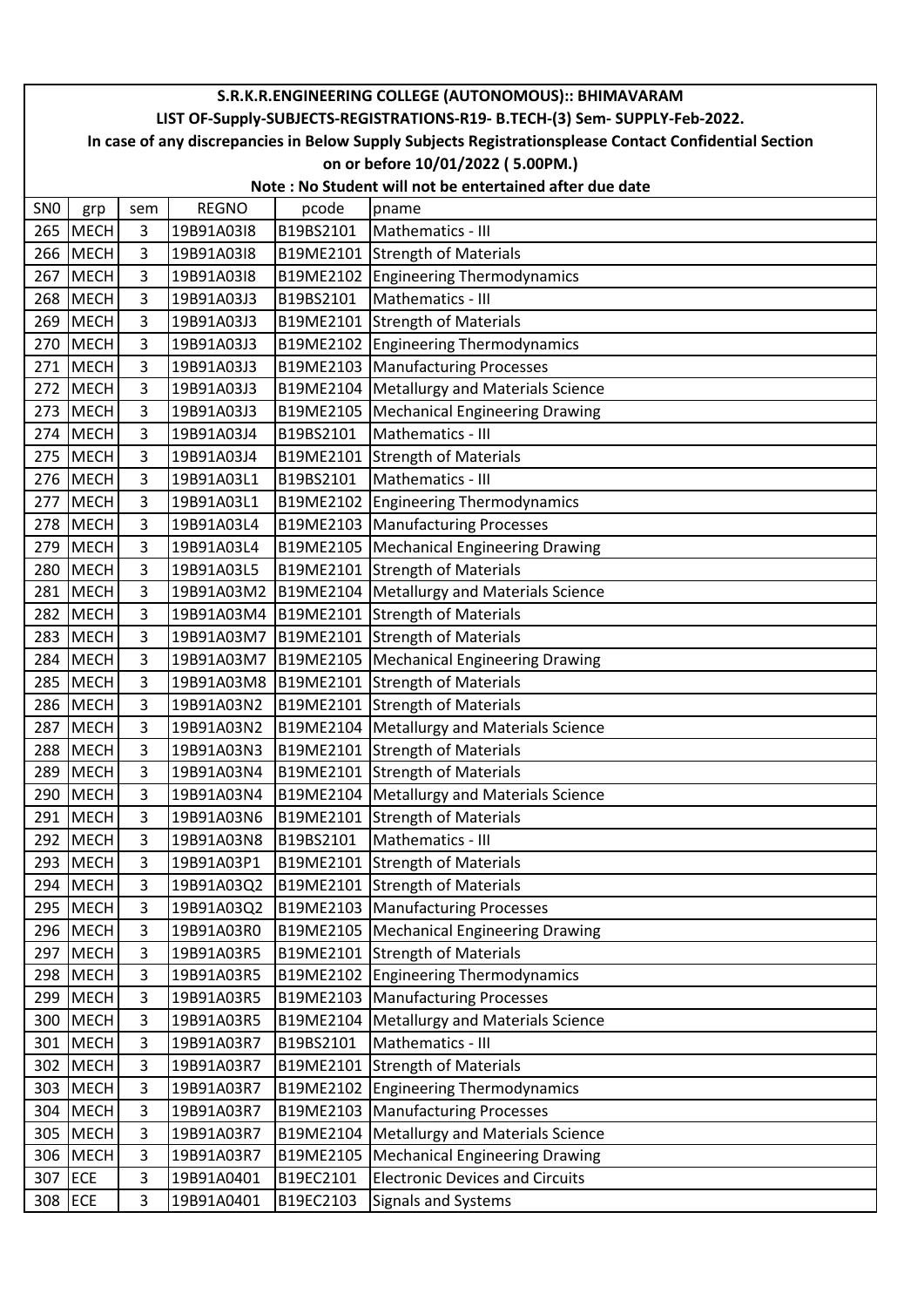|                 | S.R.K.R.ENGINEERING COLLEGE (AUTONOMOUS):: BHIMAVARAM                       |                     |                          |                        |                                                                                                        |  |  |  |
|-----------------|-----------------------------------------------------------------------------|---------------------|--------------------------|------------------------|--------------------------------------------------------------------------------------------------------|--|--|--|
|                 | LIST OF-Supply-SUBJECTS-REGISTRATIONS-R19- B.TECH-(3) Sem- SUPPLY-Feb-2022. |                     |                          |                        |                                                                                                        |  |  |  |
|                 |                                                                             |                     |                          |                        | In case of any discrepancies in Below Supply Subjects Registrationsplease Contact Confidential Section |  |  |  |
|                 |                                                                             |                     |                          |                        | on or before 10/01/2022 (5.00PM.)                                                                      |  |  |  |
|                 |                                                                             |                     |                          |                        | Note: No Student will not be entertained after due date                                                |  |  |  |
| SN <sub>0</sub> | grp                                                                         | sem                 | <b>REGNO</b>             | pcode                  | pname                                                                                                  |  |  |  |
| 265             | <b>MECH</b>                                                                 | 3                   | 19B91A03I8               | B19BS2101              | Mathematics - III                                                                                      |  |  |  |
| 266             | <b>MECH</b>                                                                 | 3                   | 19B91A03I8               |                        | B19ME2101 Strength of Materials                                                                        |  |  |  |
| 267             | <b>MECH</b>                                                                 | 3                   | 19B91A03I8               |                        | B19ME2102 Engineering Thermodynamics                                                                   |  |  |  |
| 268             | <b>MECH</b>                                                                 | 3<br>$\overline{3}$ | 19B91A03J3               | B19BS2101              | Mathematics - III                                                                                      |  |  |  |
|                 | 269 MECH                                                                    | 3                   | 19B91A03J3               |                        | B19ME2101 Strength of Materials                                                                        |  |  |  |
| 270             | MECH<br>271 MECH                                                            | 3                   | 19B91A03J3<br>19B91A03J3 |                        | B19ME2102 Engineering Thermodynamics<br>B19ME2103 Manufacturing Processes                              |  |  |  |
|                 | 272 MECH                                                                    | 3                   | 19B91A03J3               |                        | B19ME2104 Metallurgy and Materials Science                                                             |  |  |  |
|                 | 273 MECH                                                                    | 3                   | 19B91A03J3               |                        | B19ME2105   Mechanical Engineering Drawing                                                             |  |  |  |
| 274             | <b>MECH</b>                                                                 | 3                   | 19B91A03J4               | B19BS2101              | Mathematics - III                                                                                      |  |  |  |
| 275             | <b>MECH</b>                                                                 | 3                   | 19B91A03J4               |                        | B19ME2101 Strength of Materials                                                                        |  |  |  |
|                 | 276 MECH                                                                    | 3                   | 19B91A03L1               | B19BS2101              | Mathematics - III                                                                                      |  |  |  |
| 277             | <b>MECH</b>                                                                 | 3                   | 19B91A03L1               |                        | <b>B19ME2102 Engineering Thermodynamics</b>                                                            |  |  |  |
|                 | 278 MECH                                                                    | 3                   | 19B91A03L4               |                        | B19ME2103 Manufacturing Processes                                                                      |  |  |  |
| 279             | <b>MECH</b>                                                                 | 3                   | 19B91A03L4               |                        | B19ME2105   Mechanical Engineering Drawing                                                             |  |  |  |
| 280             | MECH                                                                        | 3                   | 19B91A03L5               |                        | B19ME2101 Strength of Materials                                                                        |  |  |  |
| 281             | <b>MECH</b>                                                                 | 3                   |                          |                        | 19B91A03M2   B19ME2104   Metallurgy and Materials Science                                              |  |  |  |
| 282             | <b>MECH</b>                                                                 | 3                   |                          |                        | 19B91A03M4   B19ME2101 Strength of Materials                                                           |  |  |  |
| 283             | <b>MECH</b>                                                                 | 3                   | 19B91A03M7               |                        | B19ME2101 Strength of Materials                                                                        |  |  |  |
| 284             | MECH                                                                        | 3                   | 19B91A03M7               |                        | B19ME2105   Mechanical Engineering Drawing                                                             |  |  |  |
| 285             | <b>MECH</b>                                                                 | 3                   |                          |                        | 19B91A03M8   B19ME2101 Strength of Materials                                                           |  |  |  |
| 286             | <b>MECH</b>                                                                 | 3                   | 19B91A03N2               |                        | B19ME2101 Strength of Materials                                                                        |  |  |  |
| 287             | MECH                                                                        | 3                   | 19B91A03N2               |                        | B19ME2104   Metallurgy and Materials Science                                                           |  |  |  |
| 288             | <b>MECH</b>                                                                 | $\overline{3}$      | 19B91A03N3               |                        | B19ME2101 Strength of Materials                                                                        |  |  |  |
|                 | 289 MECH                                                                    | 3                   | 19B91A03N4               |                        | B19ME2101 Strength of Materials                                                                        |  |  |  |
|                 | 290 MECH                                                                    | 3                   | 19B91A03N4               |                        | B19ME2104 Metallurgy and Materials Science                                                             |  |  |  |
| 291             | <b>MECH</b>                                                                 | 3                   | 19B91A03N6               |                        | B19ME2101 Strength of Materials                                                                        |  |  |  |
|                 | 292 MECH                                                                    | 3                   | 19B91A03N8               | B19BS2101              | Mathematics - III                                                                                      |  |  |  |
| 293             | <b>MECH</b>                                                                 | 3                   | 19B91A03P1               |                        | B19ME2101 Strength of Materials                                                                        |  |  |  |
|                 | 294 MECH                                                                    | 3                   | 19B91A03Q2               |                        | B19ME2101 Strength of Materials                                                                        |  |  |  |
|                 | 295 MECH                                                                    | 3                   | 19B91A03Q2               |                        | B19ME2103 Manufacturing Processes                                                                      |  |  |  |
|                 | 296 MECH                                                                    | 3                   | 19B91A03R0               |                        | B19ME2105   Mechanical Engineering Drawing                                                             |  |  |  |
| 297             | <b>MECH</b>                                                                 | 3                   | 19B91A03R5               |                        | B19ME2101 Strength of Materials                                                                        |  |  |  |
|                 | 298 MECH                                                                    | 3                   | 19B91A03R5               |                        | B19ME2102 Engineering Thermodynamics                                                                   |  |  |  |
|                 | 299 MECH                                                                    | 3                   | 19B91A03R5               |                        | B19ME2103 Manufacturing Processes                                                                      |  |  |  |
|                 | 300 MECH                                                                    | 3                   | 19B91A03R5               |                        | B19ME2104   Metallurgy and Materials Science                                                           |  |  |  |
| 301             | <b>MECH</b>                                                                 | $\overline{3}$      | 19B91A03R7               | B19BS2101              | Mathematics - III                                                                                      |  |  |  |
|                 | 302 MECH                                                                    | 3                   | 19B91A03R7               |                        | B19ME2101 Strength of Materials                                                                        |  |  |  |
|                 | 303 MECH                                                                    | 3                   | 19B91A03R7               |                        | B19ME2102 Engineering Thermodynamics                                                                   |  |  |  |
|                 | 304 MECH                                                                    | 3                   | 19B91A03R7               |                        | B19ME2103 Manufacturing Processes                                                                      |  |  |  |
|                 | 305 MECH                                                                    | 3                   | 19B91A03R7               |                        | B19ME2104   Metallurgy and Materials Science                                                           |  |  |  |
|                 | 306 MECH<br>307 ECE                                                         | 3<br>3              | 19B91A03R7<br>19B91A0401 | B19ME2105<br>B19EC2101 | <b>Mechanical Engineering Drawing</b>                                                                  |  |  |  |
|                 | 308 ECE                                                                     | 3                   | 19B91A0401               | B19EC2103              | <b>Electronic Devices and Circuits</b>                                                                 |  |  |  |
|                 |                                                                             |                     |                          |                        | <b>Signals and Systems</b>                                                                             |  |  |  |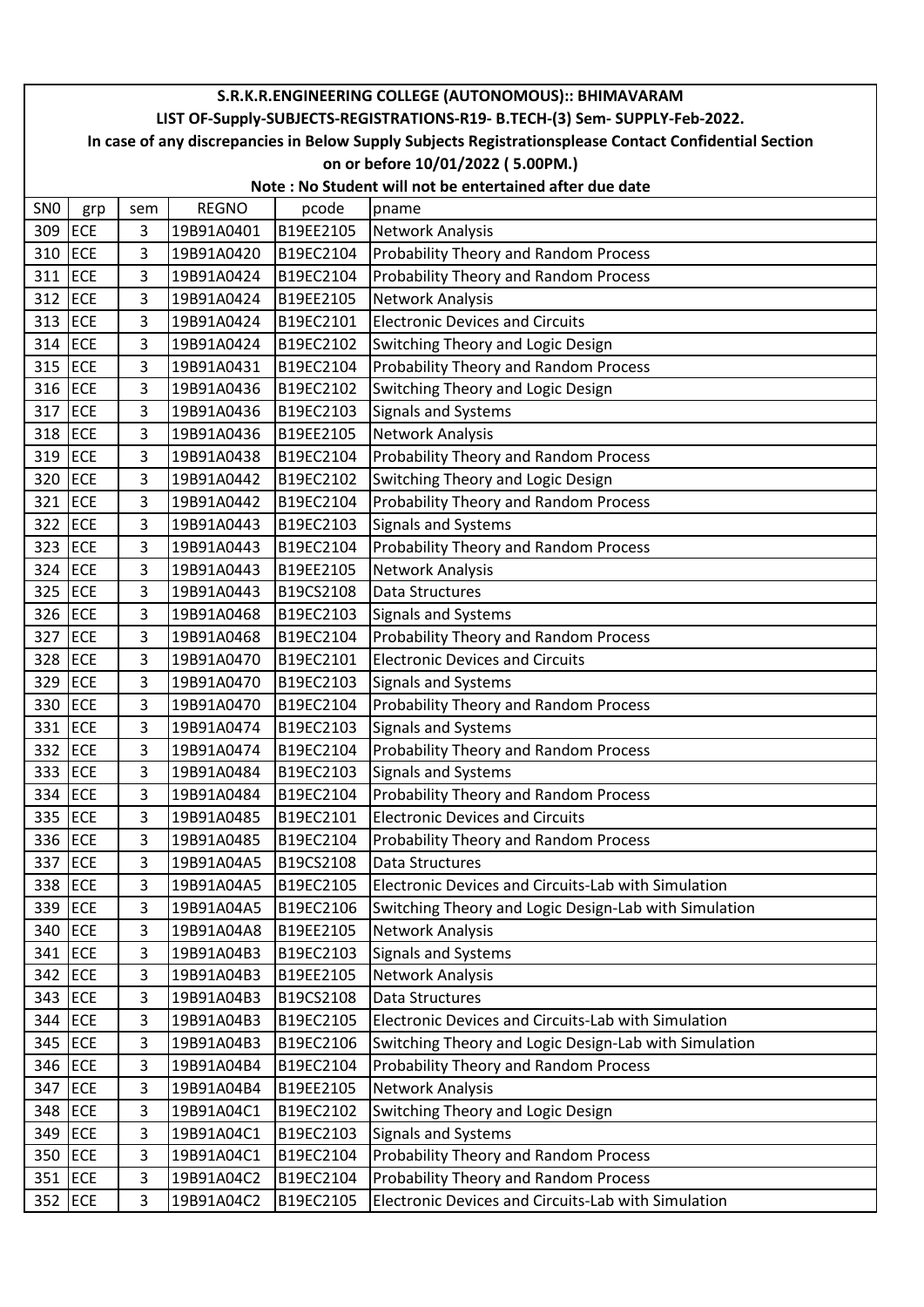|                 | S.R.K.R.ENGINEERING COLLEGE (AUTONOMOUS):: BHIMAVARAM                       |     |              |           |                                                                                                        |  |  |  |
|-----------------|-----------------------------------------------------------------------------|-----|--------------|-----------|--------------------------------------------------------------------------------------------------------|--|--|--|
|                 | LIST OF-Supply-SUBJECTS-REGISTRATIONS-R19- B.TECH-(3) Sem- SUPPLY-Feb-2022. |     |              |           |                                                                                                        |  |  |  |
|                 |                                                                             |     |              |           | In case of any discrepancies in Below Supply Subjects Registrationsplease Contact Confidential Section |  |  |  |
|                 |                                                                             |     |              |           | on or before 10/01/2022 (5.00PM.)                                                                      |  |  |  |
|                 |                                                                             |     |              |           | Note: No Student will not be entertained after due date                                                |  |  |  |
| SN <sub>0</sub> | grp                                                                         | sem | <b>REGNO</b> | pcode     | pname                                                                                                  |  |  |  |
| 309 ECE         |                                                                             | 3   | 19B91A0401   | B19EE2105 | Network Analysis                                                                                       |  |  |  |
| 310             | ECE                                                                         | 3   | 19B91A0420   | B19EC2104 | Probability Theory and Random Process                                                                  |  |  |  |
| 311             | <b>ECE</b>                                                                  | 3   | 19B91A0424   | B19EC2104 | Probability Theory and Random Process                                                                  |  |  |  |
| 312 ECE         |                                                                             | 3   | 19B91A0424   | B19EE2105 | Network Analysis                                                                                       |  |  |  |
| 313 ECE         |                                                                             | 3   | 19B91A0424   | B19EC2101 | <b>Electronic Devices and Circuits</b>                                                                 |  |  |  |
| 314 ECE         |                                                                             | 3   | 19B91A0424   | B19EC2102 | Switching Theory and Logic Design                                                                      |  |  |  |
| 315 ECE         |                                                                             | 3   | 19B91A0431   | B19EC2104 | Probability Theory and Random Process                                                                  |  |  |  |
| 316 ECE         |                                                                             | 3   | 19B91A0436   | B19EC2102 | Switching Theory and Logic Design                                                                      |  |  |  |
| 317 ECE         |                                                                             | 3   | 19B91A0436   | B19EC2103 | Signals and Systems                                                                                    |  |  |  |
| 318 ECE         |                                                                             | 3   | 19B91A0436   | B19EE2105 | Network Analysis                                                                                       |  |  |  |
| 319 ECE         |                                                                             | 3   | 19B91A0438   | B19EC2104 | Probability Theory and Random Process                                                                  |  |  |  |
| 320 ECE         |                                                                             | 3   | 19B91A0442   | B19EC2102 | Switching Theory and Logic Design                                                                      |  |  |  |
| 321 ECE         |                                                                             | 3   | 19B91A0442   | B19EC2104 | Probability Theory and Random Process                                                                  |  |  |  |
| 322 ECE         |                                                                             | 3   | 19B91A0443   | B19EC2103 | <b>Signals and Systems</b>                                                                             |  |  |  |
| 323 ECE         |                                                                             | 3   | 19B91A0443   | B19EC2104 | Probability Theory and Random Process                                                                  |  |  |  |
| 324 ECE         |                                                                             | 3   | 19B91A0443   | B19EE2105 | Network Analysis                                                                                       |  |  |  |
| 325 ECE         |                                                                             | 3   | 19B91A0443   | B19CS2108 | <b>Data Structures</b>                                                                                 |  |  |  |
| 326 ECE         |                                                                             | 3   | 19B91A0468   | B19EC2103 | Signals and Systems                                                                                    |  |  |  |
| 327 ECE         |                                                                             | 3   | 19B91A0468   | B19EC2104 | Probability Theory and Random Process                                                                  |  |  |  |
| 328 ECE         |                                                                             | 3   | 19B91A0470   | B19EC2101 | <b>Electronic Devices and Circuits</b>                                                                 |  |  |  |
| 329 ECE         |                                                                             | 3   | 19B91A0470   | B19EC2103 | <b>Signals and Systems</b>                                                                             |  |  |  |
| 330             | ECE                                                                         | 3   | 19B91A0470   | B19EC2104 | Probability Theory and Random Process                                                                  |  |  |  |
| 331 ECE         |                                                                             | 3   | 19B91A0474   | B19EC2103 | <b>Signals and Systems</b>                                                                             |  |  |  |
| 332 ECE         |                                                                             | 3   | 19B91A0474   | B19EC2104 | Probability Theory and Random Process                                                                  |  |  |  |
| 333 ECE         |                                                                             | 3   | 19B91A0484   | B19EC2103 | Signals and Systems                                                                                    |  |  |  |
|                 | 334 ECE                                                                     | 3   | 19B91A0484   | B19EC2104 | Probability Theory and Random Process                                                                  |  |  |  |
| 335 ECE         |                                                                             | 3   | 19B91A0485   | B19EC2101 | <b>Electronic Devices and Circuits</b>                                                                 |  |  |  |
| 336 ECE         |                                                                             | 3   | 19B91A0485   | B19EC2104 | Probability Theory and Random Process                                                                  |  |  |  |
| 337 ECE         |                                                                             | 3   | 19B91A04A5   | B19CS2108 | Data Structures                                                                                        |  |  |  |
| 338 ECE         |                                                                             | 3   | 19B91A04A5   | B19EC2105 | Electronic Devices and Circuits-Lab with Simulation                                                    |  |  |  |
| 339 ECE         |                                                                             | 3   | 19B91A04A5   | B19EC2106 | Switching Theory and Logic Design-Lab with Simulation                                                  |  |  |  |
| 340 ECE         |                                                                             | 3   | 19B91A04A8   | B19EE2105 | Network Analysis                                                                                       |  |  |  |
|                 | 341 ECE                                                                     | 3   | 19B91A04B3   | B19EC2103 | Signals and Systems                                                                                    |  |  |  |
| 342 ECE         |                                                                             | 3   | 19B91A04B3   | B19EE2105 | Network Analysis                                                                                       |  |  |  |
|                 | 343 ECE                                                                     | 3   | 19B91A04B3   | B19CS2108 | Data Structures                                                                                        |  |  |  |
| 344 ECE         |                                                                             | 3   | 19B91A04B3   | B19EC2105 | Electronic Devices and Circuits-Lab with Simulation                                                    |  |  |  |
|                 | 345 ECE                                                                     | 3   | 19B91A04B3   | B19EC2106 | Switching Theory and Logic Design-Lab with Simulation                                                  |  |  |  |
|                 | 346 ECE                                                                     | 3   | 19B91A04B4   | B19EC2104 | Probability Theory and Random Process                                                                  |  |  |  |
|                 | 347 ECE                                                                     | 3   | 19B91A04B4   | B19EE2105 | Network Analysis                                                                                       |  |  |  |
| 348 ECE         |                                                                             | 3   | 19B91A04C1   | B19EC2102 | Switching Theory and Logic Design                                                                      |  |  |  |
| 349 ECE         |                                                                             | 3   | 19B91A04C1   | B19EC2103 | <b>Signals and Systems</b>                                                                             |  |  |  |
|                 | 350 ECE                                                                     | 3   | 19B91A04C1   | B19EC2104 | Probability Theory and Random Process                                                                  |  |  |  |
| 351 ECE         |                                                                             | 3   | 19B91A04C2   | B19EC2104 | Probability Theory and Random Process                                                                  |  |  |  |
| 352 ECE         |                                                                             | 3   | 19B91A04C2   | B19EC2105 | Electronic Devices and Circuits-Lab with Simulation                                                    |  |  |  |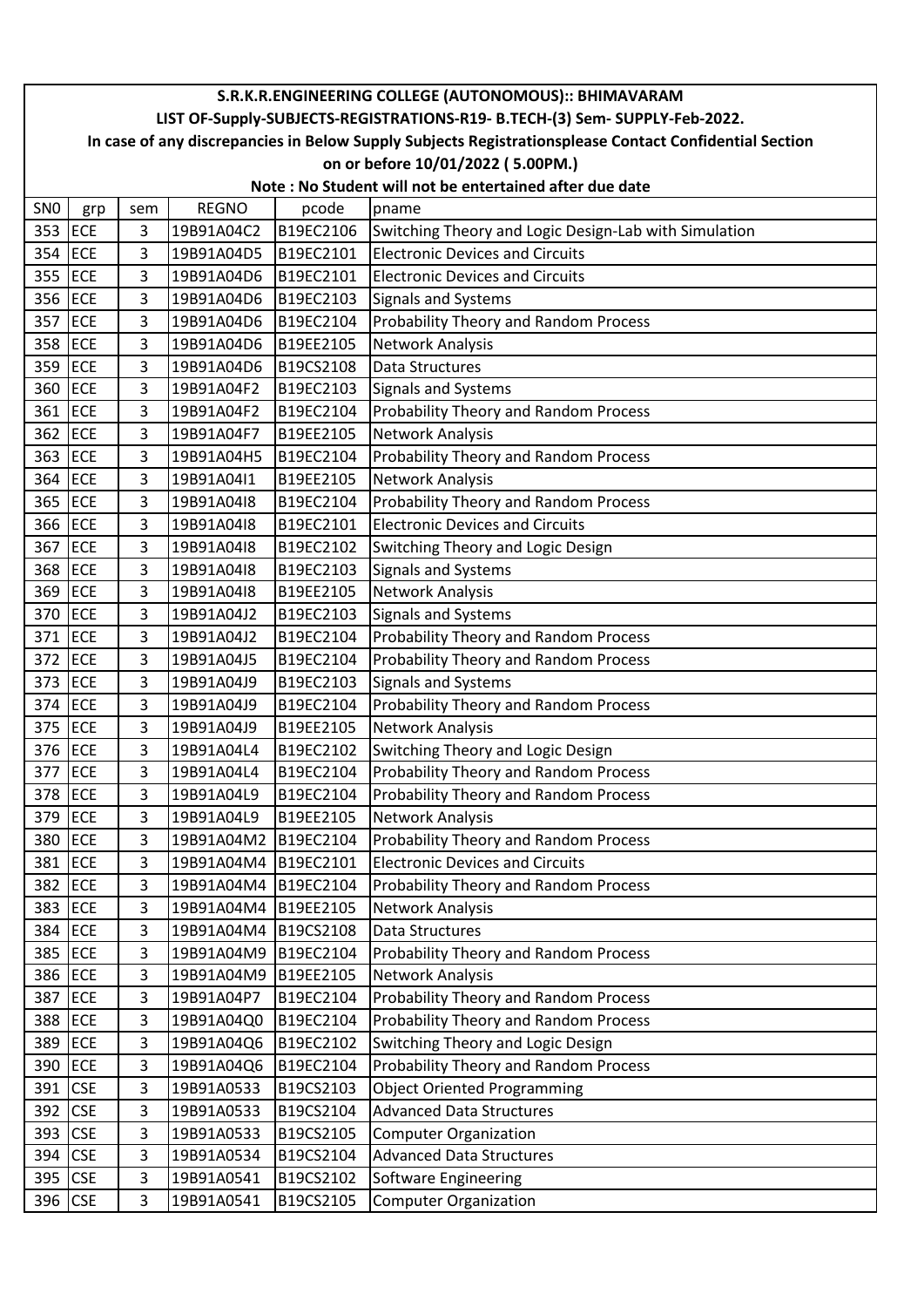|                 | S.R.K.R.ENGINEERING COLLEGE (AUTONOMOUS):: BHIMAVARAM                                                  |     |              |           |                                                       |  |  |  |  |
|-----------------|--------------------------------------------------------------------------------------------------------|-----|--------------|-----------|-------------------------------------------------------|--|--|--|--|
|                 | LIST OF-Supply-SUBJECTS-REGISTRATIONS-R19- B.TECH-(3) Sem- SUPPLY-Feb-2022.                            |     |              |           |                                                       |  |  |  |  |
|                 | In case of any discrepancies in Below Supply Subjects Registrationsplease Contact Confidential Section |     |              |           |                                                       |  |  |  |  |
|                 |                                                                                                        |     |              |           | on or before 10/01/2022 (5.00PM.)                     |  |  |  |  |
|                 | Note: No Student will not be entertained after due date                                                |     |              |           |                                                       |  |  |  |  |
| SN <sub>0</sub> | grp                                                                                                    | sem | <b>REGNO</b> | pcode     | pname                                                 |  |  |  |  |
| 353             | <b>ECE</b>                                                                                             | 3   | 19B91A04C2   | B19EC2106 | Switching Theory and Logic Design-Lab with Simulation |  |  |  |  |
| 354 ECE         |                                                                                                        | 3   | 19B91A04D5   | B19EC2101 | <b>Electronic Devices and Circuits</b>                |  |  |  |  |
| 355 ECE         |                                                                                                        | 3   | 19B91A04D6   | B19EC2101 | <b>Electronic Devices and Circuits</b>                |  |  |  |  |
| 356 ECE         |                                                                                                        | 3   | 19B91A04D6   | B19EC2103 | <b>Signals and Systems</b>                            |  |  |  |  |
| 357             | ECE                                                                                                    | 3   | 19B91A04D6   | B19EC2104 | Probability Theory and Random Process                 |  |  |  |  |
| 358 ECE         |                                                                                                        | 3   | 19B91A04D6   | B19EE2105 | Network Analysis                                      |  |  |  |  |
| 359 ECE         |                                                                                                        | 3   | 19B91A04D6   | B19CS2108 | Data Structures                                       |  |  |  |  |
| 360 ECE         |                                                                                                        | 3   | 19B91A04F2   | B19EC2103 | <b>Signals and Systems</b>                            |  |  |  |  |
| 361 ECE         |                                                                                                        | 3   | 19B91A04F2   | B19EC2104 | Probability Theory and Random Process                 |  |  |  |  |
| 362 ECE         |                                                                                                        | 3   | 19B91A04F7   | B19EE2105 | Network Analysis                                      |  |  |  |  |
| 363             | ECE                                                                                                    | 3   | 19B91A04H5   | B19EC2104 | Probability Theory and Random Process                 |  |  |  |  |
| 364 ECE         |                                                                                                        | 3   | 19B91A04I1   | B19EE2105 | <b>Network Analysis</b>                               |  |  |  |  |
| 365             | ECE                                                                                                    | 3   | 19B91A04I8   | B19EC2104 | Probability Theory and Random Process                 |  |  |  |  |
| 366 ECE         |                                                                                                        | 3   | 19B91A04I8   | B19EC2101 | <b>Electronic Devices and Circuits</b>                |  |  |  |  |
| 367             | ECE                                                                                                    | 3   | 19B91A04I8   | B19EC2102 | Switching Theory and Logic Design                     |  |  |  |  |
| 368 ECE         |                                                                                                        | 3   | 19B91A04I8   | B19EC2103 | <b>Signals and Systems</b>                            |  |  |  |  |
| 369 ECE         |                                                                                                        | 3   | 19B91A04I8   | B19EE2105 | Network Analysis                                      |  |  |  |  |
| 370 ECE         |                                                                                                        | 3   | 19B91A04J2   | B19EC2103 | Signals and Systems                                   |  |  |  |  |
| 371             | ECE                                                                                                    | 3   | 19B91A04J2   | B19EC2104 | Probability Theory and Random Process                 |  |  |  |  |
| 372             | ECE                                                                                                    | 3   | 19B91A04J5   | B19EC2104 | Probability Theory and Random Process                 |  |  |  |  |
| 373             | ECE                                                                                                    | 3   | 19B91A04J9   | B19EC2103 | <b>Signals and Systems</b>                            |  |  |  |  |
| 374 ECE         |                                                                                                        | 3   | 19B91A04J9   | B19EC2104 | Probability Theory and Random Process                 |  |  |  |  |
| 375 ECE         |                                                                                                        | 3   | 19B91A04J9   | B19EE2105 | Network Analysis                                      |  |  |  |  |
| 376 ECE         |                                                                                                        | 3   | 19B91A04L4   | B19EC2102 | Switching Theory and Logic Design                     |  |  |  |  |
| 377 ECE         |                                                                                                        | 3   | 19B91A04L4   | B19EC2104 | <b>Probability Theory and Random Process</b>          |  |  |  |  |
| 378 ECE         |                                                                                                        | 3   | 19B91A04L9   | B19EC2104 | Probability Theory and Random Process                 |  |  |  |  |
| 379 ECE         |                                                                                                        | 3   | 19B91A04L9   | B19EE2105 | Network Analysis                                      |  |  |  |  |
| 380 ECE         |                                                                                                        | 3   | 19B91A04M2   | B19EC2104 | Probability Theory and Random Process                 |  |  |  |  |
| 381 ECE         |                                                                                                        | 3   | 19B91A04M4   | B19EC2101 | <b>Electronic Devices and Circuits</b>                |  |  |  |  |
| 382 ECE         |                                                                                                        | 3   | 19B91A04M4   | B19EC2104 | Probability Theory and Random Process                 |  |  |  |  |
| 383 ECE         |                                                                                                        | 3   | 19B91A04M4   | B19EE2105 | Network Analysis                                      |  |  |  |  |
| 384 ECE         |                                                                                                        | 3   | 19B91A04M4   | B19CS2108 | Data Structures                                       |  |  |  |  |
| 385 ECE         |                                                                                                        | 3   | 19B91A04M9   | B19EC2104 | <b>Probability Theory and Random Process</b>          |  |  |  |  |
| 386 ECE         |                                                                                                        | 3   | 19B91A04M9   | B19EE2105 | Network Analysis                                      |  |  |  |  |
| 387 ECE         |                                                                                                        | 3   | 19B91A04P7   | B19EC2104 | Probability Theory and Random Process                 |  |  |  |  |
| 388 ECE         |                                                                                                        | 3   | 19B91A04Q0   | B19EC2104 | Probability Theory and Random Process                 |  |  |  |  |
| 389 ECE         |                                                                                                        | 3   | 19B91A04Q6   | B19EC2102 | Switching Theory and Logic Design                     |  |  |  |  |
| 390 ECE         |                                                                                                        | 3   | 19B91A04Q6   | B19EC2104 | Probability Theory and Random Process                 |  |  |  |  |
| 391             | <b>CSE</b>                                                                                             | 3   | 19B91A0533   | B19CS2103 | <b>Object Oriented Programming</b>                    |  |  |  |  |
| 392 CSE         |                                                                                                        | 3   | 19B91A0533   | B19CS2104 | <b>Advanced Data Structures</b>                       |  |  |  |  |
| 393 CSE         |                                                                                                        | 3   | 19B91A0533   | B19CS2105 | <b>Computer Organization</b>                          |  |  |  |  |
| 394 CSE         |                                                                                                        | 3   | 19B91A0534   | B19CS2104 | <b>Advanced Data Structures</b>                       |  |  |  |  |
| 395 CSE         |                                                                                                        | 3   | 19B91A0541   | B19CS2102 | Software Engineering                                  |  |  |  |  |
| 396 CSE         |                                                                                                        | 3   | 19B91A0541   | B19CS2105 | <b>Computer Organization</b>                          |  |  |  |  |
|                 |                                                                                                        |     |              |           |                                                       |  |  |  |  |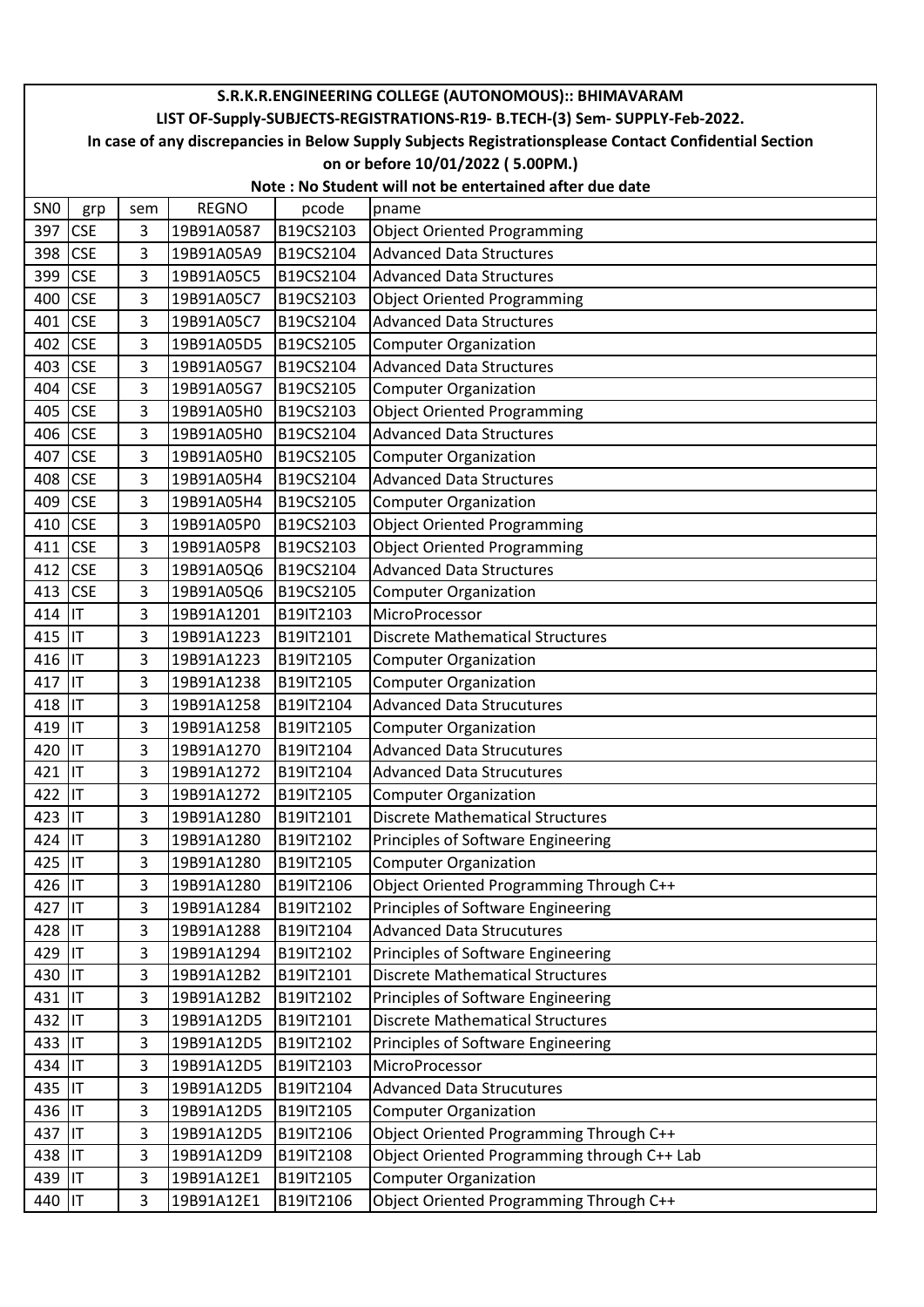|                 | S.R.K.R.ENGINEERING COLLEGE (AUTONOMOUS):: BHIMAVARAM<br>LIST OF-Supply-SUBJECTS-REGISTRATIONS-R19- B.TECH-(3) Sem- SUPPLY-Feb-2022. |     |              |           |                                             |  |  |  |  |
|-----------------|--------------------------------------------------------------------------------------------------------------------------------------|-----|--------------|-----------|---------------------------------------------|--|--|--|--|
|                 | In case of any discrepancies in Below Supply Subjects Registrationsplease Contact Confidential Section                               |     |              |           |                                             |  |  |  |  |
|                 |                                                                                                                                      |     |              |           | on or before 10/01/2022 (5.00PM.)           |  |  |  |  |
|                 | Note: No Student will not be entertained after due date                                                                              |     |              |           |                                             |  |  |  |  |
| SN <sub>0</sub> | grp                                                                                                                                  | sem | <b>REGNO</b> | pcode     | pname                                       |  |  |  |  |
| 397             | <b>CSE</b>                                                                                                                           | 3   | 19B91A0587   | B19CS2103 | <b>Object Oriented Programming</b>          |  |  |  |  |
| 398             | <b>CSE</b>                                                                                                                           | 3   | 19B91A05A9   | B19CS2104 | <b>Advanced Data Structures</b>             |  |  |  |  |
| 399             | <b>CSE</b>                                                                                                                           | 3   | 19B91A05C5   | B19CS2104 | <b>Advanced Data Structures</b>             |  |  |  |  |
| 400             | <b>CSE</b>                                                                                                                           | 3   | 19B91A05C7   | B19CS2103 | <b>Object Oriented Programming</b>          |  |  |  |  |
| 401 CSE         |                                                                                                                                      | 3   | 19B91A05C7   | B19CS2104 | <b>Advanced Data Structures</b>             |  |  |  |  |
| 402             | <b>CSE</b>                                                                                                                           | 3   | 19B91A05D5   | B19CS2105 | <b>Computer Organization</b>                |  |  |  |  |
| 403             | <b>CSE</b>                                                                                                                           | 3   | 19B91A05G7   | B19CS2104 | <b>Advanced Data Structures</b>             |  |  |  |  |
| 404             | <b>CSE</b>                                                                                                                           | 3   | 19B91A05G7   | B19CS2105 | <b>Computer Organization</b>                |  |  |  |  |
| 405 CSE         |                                                                                                                                      | 3   | 19B91A05H0   | B19CS2103 | <b>Object Oriented Programming</b>          |  |  |  |  |
| 406 CSE         |                                                                                                                                      | 3   | 19B91A05H0   | B19CS2104 | <b>Advanced Data Structures</b>             |  |  |  |  |
| 407             | <b>CSE</b>                                                                                                                           | 3   | 19B91A05H0   | B19CS2105 | <b>Computer Organization</b>                |  |  |  |  |
| 408             | <b>CSE</b>                                                                                                                           | 3   | 19B91A05H4   | B19CS2104 | <b>Advanced Data Structures</b>             |  |  |  |  |
| 409             | <b>CSE</b>                                                                                                                           | 3   | 19B91A05H4   | B19CS2105 | <b>Computer Organization</b>                |  |  |  |  |
| 410             | <b>CSE</b>                                                                                                                           | 3   | 19B91A05P0   | B19CS2103 | <b>Object Oriented Programming</b>          |  |  |  |  |
| 411             | <b>CSE</b>                                                                                                                           | 3   | 19B91A05P8   | B19CS2103 | <b>Object Oriented Programming</b>          |  |  |  |  |
| 412 CSE         |                                                                                                                                      | 3   | 19B91A05Q6   | B19CS2104 | <b>Advanced Data Structures</b>             |  |  |  |  |
| 413 CSE         |                                                                                                                                      | 3   | 19B91A05Q6   | B19CS2105 | <b>Computer Organization</b>                |  |  |  |  |
| 414             | <b>IIT</b>                                                                                                                           | 3   | 19B91A1201   | B19IT2103 | MicroProcessor                              |  |  |  |  |
| 415 IT          |                                                                                                                                      | 3   | 19B91A1223   | B19IT2101 | <b>Discrete Mathematical Structures</b>     |  |  |  |  |
| 416 IT          |                                                                                                                                      | 3   | 19B91A1223   | B19IT2105 | <b>Computer Organization</b>                |  |  |  |  |
| 417 IT          |                                                                                                                                      | 3   | 19B91A1238   | B19IT2105 | <b>Computer Organization</b>                |  |  |  |  |
| 418 IT          |                                                                                                                                      | 3   | 19B91A1258   | B19IT2104 | <b>Advanced Data Strucutures</b>            |  |  |  |  |
| 419 IT          |                                                                                                                                      | 3   | 19B91A1258   | B19IT2105 | <b>Computer Organization</b>                |  |  |  |  |
| 420 IT          |                                                                                                                                      | 3   | 19B91A1270   | B19IT2104 | <b>Advanced Data Strucutures</b>            |  |  |  |  |
| 421 IT          |                                                                                                                                      | 3   | 19B91A1272   | B19IT2104 | <b>Advanced Data Strucutures</b>            |  |  |  |  |
| 422 IT          |                                                                                                                                      | 3   | 19B91A1272   | B19IT2105 | <b>Computer Organization</b>                |  |  |  |  |
| 423             | İІТ                                                                                                                                  | 3   | 19B91A1280   | B19IT2101 | <b>Discrete Mathematical Structures</b>     |  |  |  |  |
| 424 IT          |                                                                                                                                      | 3   | 19B91A1280   | B19IT2102 | Principles of Software Engineering          |  |  |  |  |
| 425 IT          |                                                                                                                                      | 3   | 19B91A1280   | B19IT2105 | <b>Computer Organization</b>                |  |  |  |  |
| 426 IT          |                                                                                                                                      | 3   | 19B91A1280   | B19IT2106 | Object Oriented Programming Through C++     |  |  |  |  |
| 427 IT          |                                                                                                                                      | 3   | 19B91A1284   | B19IT2102 | Principles of Software Engineering          |  |  |  |  |
| 428 IT          |                                                                                                                                      | 3   | 19B91A1288   | B19IT2104 | <b>Advanced Data Strucutures</b>            |  |  |  |  |
| 429 IT          |                                                                                                                                      | 3   | 19B91A1294   | B19IT2102 | Principles of Software Engineering          |  |  |  |  |
| 430 IT          |                                                                                                                                      | 3   | 19B91A12B2   | B19IT2101 | <b>Discrete Mathematical Structures</b>     |  |  |  |  |
| 431 IT          |                                                                                                                                      | 3   | 19B91A12B2   | B19IT2102 | Principles of Software Engineering          |  |  |  |  |
| 432 IT          |                                                                                                                                      | 3   | 19B91A12D5   | B19IT2101 | <b>Discrete Mathematical Structures</b>     |  |  |  |  |
| 433 IT          |                                                                                                                                      | 3   | 19B91A12D5   | B19IT2102 | Principles of Software Engineering          |  |  |  |  |
| 434 IT          |                                                                                                                                      | 3   | 19B91A12D5   | B19IT2103 | MicroProcessor                              |  |  |  |  |
| 435 IT          |                                                                                                                                      | 3   | 19B91A12D5   | B19IT2104 | <b>Advanced Data Strucutures</b>            |  |  |  |  |
| 436 IT          |                                                                                                                                      | 3   | 19B91A12D5   | B19IT2105 | <b>Computer Organization</b>                |  |  |  |  |
| 437 IT          |                                                                                                                                      | 3   | 19B91A12D5   | B19IT2106 | Object Oriented Programming Through C++     |  |  |  |  |
| 438 IT          |                                                                                                                                      | 3   | 19B91A12D9   | B19IT2108 | Object Oriented Programming through C++ Lab |  |  |  |  |
| 439 IT          |                                                                                                                                      | 3   | 19B91A12E1   | B19IT2105 | <b>Computer Organization</b>                |  |  |  |  |
| 440 IT          |                                                                                                                                      | 3   | 19B91A12E1   | B19IT2106 | Object Oriented Programming Through C++     |  |  |  |  |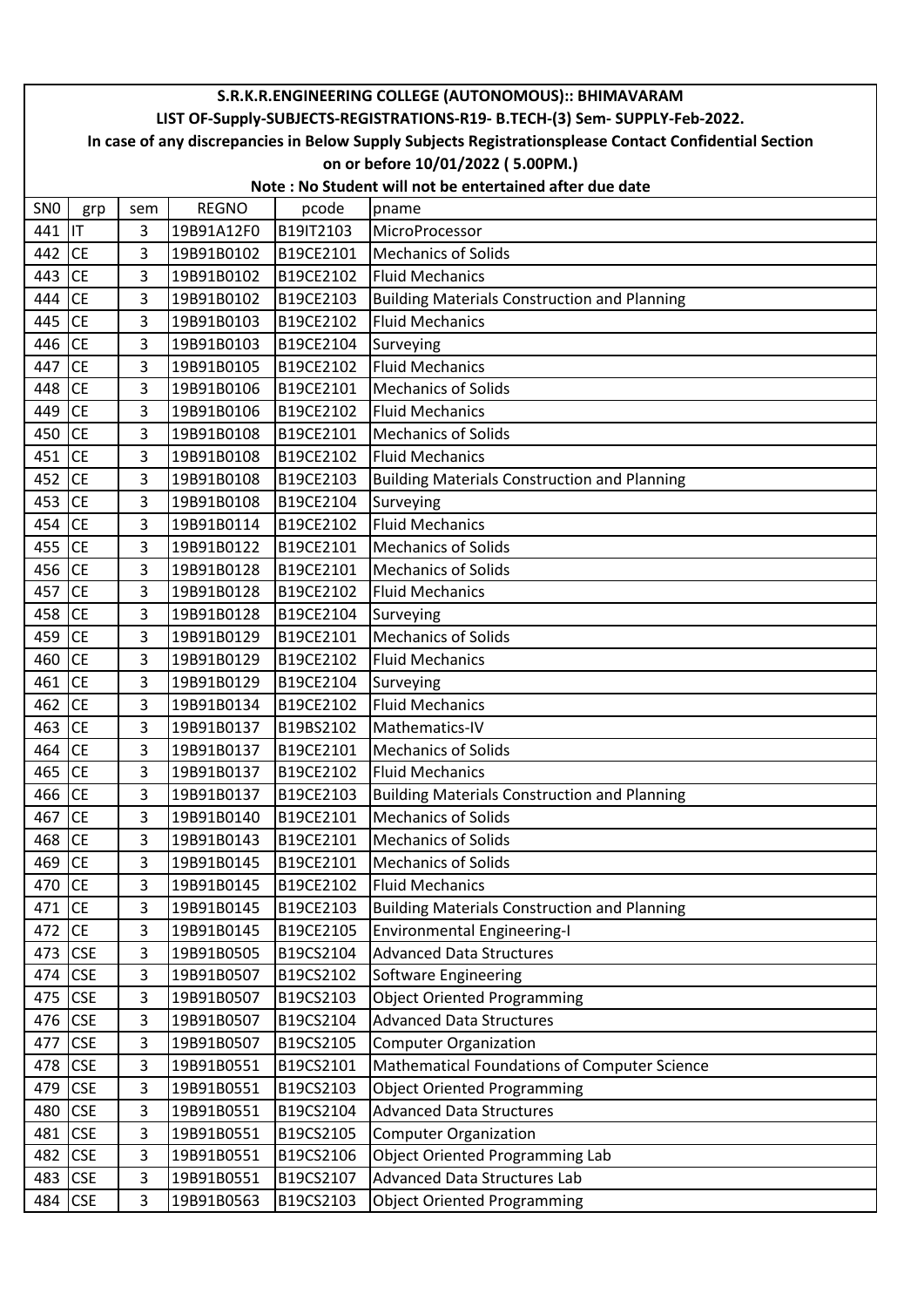|                 | S.R.K.R.ENGINEERING COLLEGE (AUTONOMOUS):: BHIMAVARAM                       |     |              |           |                                                                                                        |  |  |  |  |
|-----------------|-----------------------------------------------------------------------------|-----|--------------|-----------|--------------------------------------------------------------------------------------------------------|--|--|--|--|
|                 | LIST OF-Supply-SUBJECTS-REGISTRATIONS-R19- B.TECH-(3) Sem- SUPPLY-Feb-2022. |     |              |           |                                                                                                        |  |  |  |  |
|                 |                                                                             |     |              |           | In case of any discrepancies in Below Supply Subjects Registrationsplease Contact Confidential Section |  |  |  |  |
|                 |                                                                             |     |              |           | on or before 10/01/2022 (5.00PM.)                                                                      |  |  |  |  |
|                 | Note: No Student will not be entertained after due date                     |     |              |           |                                                                                                        |  |  |  |  |
| SN <sub>0</sub> | grp                                                                         | sem | <b>REGNO</b> | pcode     | pname                                                                                                  |  |  |  |  |
| 441 IT          |                                                                             | 3   | 19B91A12F0   | B19IT2103 | MicroProcessor                                                                                         |  |  |  |  |
| 442             | <b>CE</b>                                                                   | 3   | 19B91B0102   | B19CE2101 | <b>Mechanics of Solids</b>                                                                             |  |  |  |  |
| 443             | lсE                                                                         | 3   | 19B91B0102   | B19CE2102 | <b>Fluid Mechanics</b>                                                                                 |  |  |  |  |
| 444             | <b>CE</b>                                                                   | 3   | 19B91B0102   | B19CE2103 | <b>Building Materials Construction and Planning</b>                                                    |  |  |  |  |
| 445             | <b>CE</b>                                                                   | 3   | 19B91B0103   | B19CE2102 | <b>Fluid Mechanics</b>                                                                                 |  |  |  |  |
| 446 CE          |                                                                             | 3   | 19B91B0103   | B19CE2104 | Surveying                                                                                              |  |  |  |  |
| 447             | <b>CE</b>                                                                   | 3   | 19B91B0105   | B19CE2102 | <b>Fluid Mechanics</b>                                                                                 |  |  |  |  |
| 448 CE          |                                                                             | 3   | 19B91B0106   | B19CE2101 | <b>Mechanics of Solids</b>                                                                             |  |  |  |  |
| 449 CE          |                                                                             | 3   | 19B91B0106   | B19CE2102 | <b>Fluid Mechanics</b>                                                                                 |  |  |  |  |
| 450             | <b>CE</b>                                                                   | 3   | 19B91B0108   | B19CE2101 | <b>Mechanics of Solids</b>                                                                             |  |  |  |  |
| 451             | <b>CE</b>                                                                   | 3   | 19B91B0108   | B19CE2102 | <b>Fluid Mechanics</b>                                                                                 |  |  |  |  |
| 452             | <b>CE</b>                                                                   | 3   | 19B91B0108   | B19CE2103 | <b>Building Materials Construction and Planning</b>                                                    |  |  |  |  |
| 453             | <b>CE</b>                                                                   | 3   | 19B91B0108   | B19CE2104 | Surveying                                                                                              |  |  |  |  |
| 454 CE          |                                                                             | 3   | 19B91B0114   | B19CE2102 | <b>Fluid Mechanics</b>                                                                                 |  |  |  |  |
| 455 CE          |                                                                             | 3   | 19B91B0122   | B19CE2101 | <b>Mechanics of Solids</b>                                                                             |  |  |  |  |
| 456 CE          |                                                                             | 3   | 19B91B0128   | B19CE2101 | <b>Mechanics of Solids</b>                                                                             |  |  |  |  |
| 457             | <b>CE</b>                                                                   | 3   | 19B91B0128   | B19CE2102 | <b>Fluid Mechanics</b>                                                                                 |  |  |  |  |
| 458             | <b>CE</b>                                                                   | 3   | 19B91B0128   | B19CE2104 | Surveying                                                                                              |  |  |  |  |
| 459 CE          |                                                                             | 3   | 19B91B0129   | B19CE2101 | <b>Mechanics of Solids</b>                                                                             |  |  |  |  |
| 460             | <b>CE</b>                                                                   | 3   | 19B91B0129   | B19CE2102 | <b>Fluid Mechanics</b>                                                                                 |  |  |  |  |
| 461             | <b>CE</b>                                                                   | 3   | 19B91B0129   | B19CE2104 | Surveying                                                                                              |  |  |  |  |
| 462 CE          |                                                                             | 3   | 19B91B0134   | B19CE2102 | <b>Fluid Mechanics</b>                                                                                 |  |  |  |  |
| 463             | <b>CE</b>                                                                   | 3   | 19B91B0137   | B19BS2102 | Mathematics-IV                                                                                         |  |  |  |  |
| 464             | <b>CE</b>                                                                   | 3   | 19B91B0137   | B19CE2101 | <b>Mechanics of Solids</b>                                                                             |  |  |  |  |
| 465 CE          |                                                                             | 3   | 19B91B0137   | B19CE2102 | <b>Fluid Mechanics</b>                                                                                 |  |  |  |  |
| 466 CE          |                                                                             | 3   | 19B91B0137   | B19CE2103 | <b>Building Materials Construction and Planning</b>                                                    |  |  |  |  |
| 467             | <b>CE</b>                                                                   | 3   | 19B91B0140   | B19CE2101 | <b>Mechanics of Solids</b>                                                                             |  |  |  |  |
| 468             | <b>CE</b>                                                                   | 3   | 19B91B0143   | B19CE2101 | <b>Mechanics of Solids</b>                                                                             |  |  |  |  |
| 469             | <b>CE</b>                                                                   | 3   | 19B91B0145   | B19CE2101 | <b>Mechanics of Solids</b>                                                                             |  |  |  |  |
| 470             | <b>CE</b>                                                                   | 3   | 19B91B0145   | B19CE2102 | <b>Fluid Mechanics</b>                                                                                 |  |  |  |  |
| 471             | <b>CE</b>                                                                   | 3   | 19B91B0145   | B19CE2103 | <b>Building Materials Construction and Planning</b>                                                    |  |  |  |  |
| 472             | CE                                                                          | 3   | 19B91B0145   | B19CE2105 | <b>Environmental Engineering-I</b>                                                                     |  |  |  |  |
| 473             | <b>CSE</b>                                                                  | 3   | 19B91B0505   | B19CS2104 | <b>Advanced Data Structures</b>                                                                        |  |  |  |  |
| 474             | <b>CSE</b>                                                                  | 3   | 19B91B0507   | B19CS2102 | Software Engineering                                                                                   |  |  |  |  |
| 475             | <b>CSE</b>                                                                  | 3   | 19B91B0507   | B19CS2103 | <b>Object Oriented Programming</b>                                                                     |  |  |  |  |
| 476             | <b>CSE</b>                                                                  | 3   | 19B91B0507   | B19CS2104 | <b>Advanced Data Structures</b>                                                                        |  |  |  |  |
| 477             | <b>CSE</b>                                                                  | 3   | 19B91B0507   | B19CS2105 | <b>Computer Organization</b>                                                                           |  |  |  |  |
| 478             | <b>CSE</b>                                                                  | 3   | 19B91B0551   | B19CS2101 | Mathematical Foundations of Computer Science                                                           |  |  |  |  |
| 479             | <b>CSE</b>                                                                  | 3   | 19B91B0551   | B19CS2103 | <b>Object Oriented Programming</b>                                                                     |  |  |  |  |
| 480             | <b>CSE</b>                                                                  | 3   | 19B91B0551   | B19CS2104 | <b>Advanced Data Structures</b>                                                                        |  |  |  |  |
| 481             | <b>CSE</b>                                                                  | 3   | 19B91B0551   | B19CS2105 | <b>Computer Organization</b>                                                                           |  |  |  |  |
| 482             | <b>CSE</b>                                                                  | 3   | 19B91B0551   | B19CS2106 | <b>Object Oriented Programming Lab</b>                                                                 |  |  |  |  |
| 483             | <b>CSE</b>                                                                  | 3   | 19B91B0551   | B19CS2107 | <b>Advanced Data Structures Lab</b>                                                                    |  |  |  |  |
| 484             | <b>CSE</b>                                                                  | 3   | 19B91B0563   | B19CS2103 | <b>Object Oriented Programming</b>                                                                     |  |  |  |  |